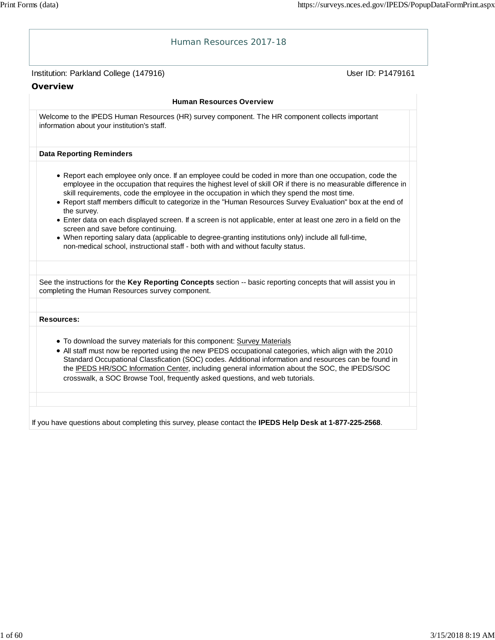| Human Resources 2017-18                                                                                                                                                                                                                                                                                                                                                                                                                                                                                                                                                                                                                                                                                                                                                                                  |                   |
|----------------------------------------------------------------------------------------------------------------------------------------------------------------------------------------------------------------------------------------------------------------------------------------------------------------------------------------------------------------------------------------------------------------------------------------------------------------------------------------------------------------------------------------------------------------------------------------------------------------------------------------------------------------------------------------------------------------------------------------------------------------------------------------------------------|-------------------|
| Institution: Parkland College (147916)                                                                                                                                                                                                                                                                                                                                                                                                                                                                                                                                                                                                                                                                                                                                                                   | User ID: P1479161 |
| Overview                                                                                                                                                                                                                                                                                                                                                                                                                                                                                                                                                                                                                                                                                                                                                                                                 |                   |
| <b>Human Resources Overview</b>                                                                                                                                                                                                                                                                                                                                                                                                                                                                                                                                                                                                                                                                                                                                                                          |                   |
| Welcome to the IPEDS Human Resources (HR) survey component. The HR component collects important<br>information about your institution's staff.                                                                                                                                                                                                                                                                                                                                                                                                                                                                                                                                                                                                                                                           |                   |
| <b>Data Reporting Reminders</b>                                                                                                                                                                                                                                                                                                                                                                                                                                                                                                                                                                                                                                                                                                                                                                          |                   |
| • Report each employee only once. If an employee could be coded in more than one occupation, code the<br>employee in the occupation that requires the highest level of skill OR if there is no measurable difference in<br>skill requirements, code the employee in the occupation in which they spend the most time.<br>. Report staff members difficult to categorize in the "Human Resources Survey Evaluation" box at the end of<br>the survey.<br>• Enter data on each displayed screen. If a screen is not applicable, enter at least one zero in a field on the<br>screen and save before continuing.<br>. When reporting salary data (applicable to degree-granting institutions only) include all full-time,<br>non-medical school, instructional staff - both with and without faculty status. |                   |
| See the instructions for the Key Reporting Concepts section -- basic reporting concepts that will assist you in                                                                                                                                                                                                                                                                                                                                                                                                                                                                                                                                                                                                                                                                                          |                   |
| completing the Human Resources survey component.                                                                                                                                                                                                                                                                                                                                                                                                                                                                                                                                                                                                                                                                                                                                                         |                   |
| <b>Resources:</b>                                                                                                                                                                                                                                                                                                                                                                                                                                                                                                                                                                                                                                                                                                                                                                                        |                   |
| . To download the survey materials for this component: Survey Materials<br>. All staff must now be reported using the new IPEDS occupational categories, which align with the 2010<br>Standard Occupational Classfication (SOC) codes. Additional information and resources can be found in<br>the IPEDS HR/SOC Information Center, including general information about the SOC, the IPEDS/SOC<br>crosswalk, a SOC Browse Tool, frequently asked questions, and web tutorials.                                                                                                                                                                                                                                                                                                                           |                   |
| If you have questions about completing this survey, please contact the IPEDS Help Desk at 1-877-225-2568.                                                                                                                                                                                                                                                                                                                                                                                                                                                                                                                                                                                                                                                                                                |                   |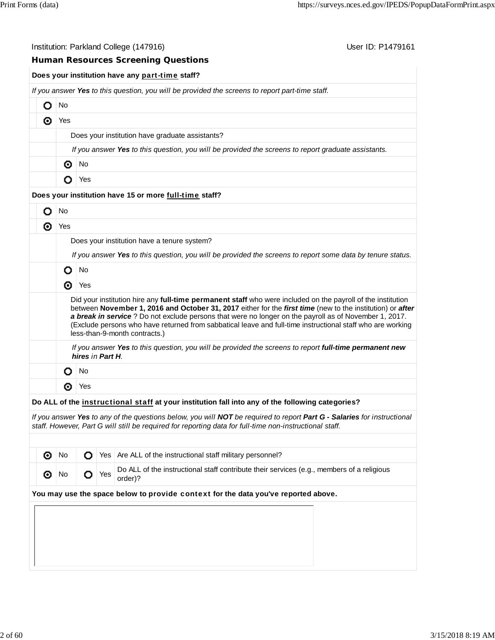|   |     | Institution: Parkland College (147916)                                                                                                                                                                                                                                                                                                                                                                                                                                            | User ID: P1479161 |
|---|-----|-----------------------------------------------------------------------------------------------------------------------------------------------------------------------------------------------------------------------------------------------------------------------------------------------------------------------------------------------------------------------------------------------------------------------------------------------------------------------------------|-------------------|
|   |     | <b>Human Resources Screening Questions</b>                                                                                                                                                                                                                                                                                                                                                                                                                                        |                   |
|   |     | Does your institution have any part-time staff?                                                                                                                                                                                                                                                                                                                                                                                                                                   |                   |
|   |     | If you answer Yes to this question, you will be provided the screens to report part-time staff.                                                                                                                                                                                                                                                                                                                                                                                   |                   |
| Ο | No  |                                                                                                                                                                                                                                                                                                                                                                                                                                                                                   |                   |
| ⊚ | Yes |                                                                                                                                                                                                                                                                                                                                                                                                                                                                                   |                   |
|   |     | Does your institution have graduate assistants?                                                                                                                                                                                                                                                                                                                                                                                                                                   |                   |
|   |     | If you answer Yes to this question, you will be provided the screens to report graduate assistants.                                                                                                                                                                                                                                                                                                                                                                               |                   |
|   | ⊙   | No                                                                                                                                                                                                                                                                                                                                                                                                                                                                                |                   |
|   | O   | Yes                                                                                                                                                                                                                                                                                                                                                                                                                                                                               |                   |
|   |     | Does your institution have 15 or more full-time staff?                                                                                                                                                                                                                                                                                                                                                                                                                            |                   |
| О | No  |                                                                                                                                                                                                                                                                                                                                                                                                                                                                                   |                   |
| ⊙ | Yes |                                                                                                                                                                                                                                                                                                                                                                                                                                                                                   |                   |
|   |     | Does your institution have a tenure system?                                                                                                                                                                                                                                                                                                                                                                                                                                       |                   |
|   |     | If you answer Yes to this question, you will be provided the screens to report some data by tenure status.                                                                                                                                                                                                                                                                                                                                                                        |                   |
|   | O   | <b>No</b>                                                                                                                                                                                                                                                                                                                                                                                                                                                                         |                   |
|   | ⊚   | Yes                                                                                                                                                                                                                                                                                                                                                                                                                                                                               |                   |
|   |     | Did your institution hire any full-time permanent staff who were included on the payroll of the institution<br>between November 1, 2016 and October 31, 2017 either for the first time (new to the institution) or after<br>a break in service ? Do not exclude persons that were no longer on the payroll as of November 1, 2017.<br>(Exclude persons who have returned from sabbatical leave and full-time instructional staff who are working<br>less-than-9-month contracts.) |                   |
|   |     | If you answer Yes to this question, you will be provided the screens to report full-time permanent new<br>hires in Part H.                                                                                                                                                                                                                                                                                                                                                        |                   |
|   | O   | <b>No</b>                                                                                                                                                                                                                                                                                                                                                                                                                                                                         |                   |
|   | ⊙   | Yes                                                                                                                                                                                                                                                                                                                                                                                                                                                                               |                   |
|   |     | Do ALL of the instructional staff at your institution fall into any of the following categories?                                                                                                                                                                                                                                                                                                                                                                                  |                   |
|   |     | If you answer Yes to any of the questions below, you will NOT be required to report Part G - Salaries for instructional<br>staff. However, Part G will still be required for reporting data for full-time non-instructional staff.                                                                                                                                                                                                                                                |                   |

| െ       | No. |                   | ◯ Yes   Are ALL of the instructional staff military personnel?                                       |
|---------|-----|-------------------|------------------------------------------------------------------------------------------------------|
| $\odot$ |     | No $\bigcirc$ Yes | Do ALL of the instructional staff contribute their services (e.g., members of a religious<br>order)? |
|         |     |                   | You may use the space below to provide context for the data you've reported above.                   |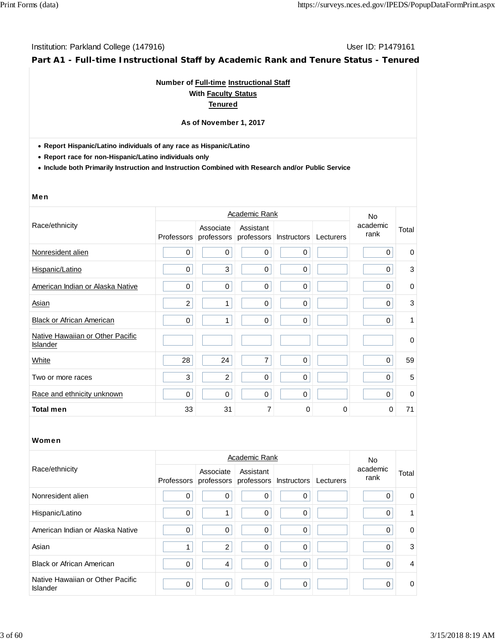**Part A1 - Full-time Instructional Staff by Academic Rank and Tenure Status - Tenured**

## **Number of Full-time Instructional Staff With Faculty Status Tenured**

#### **As of November 1, 2017**

**Report Hispanic/Latino individuals of any race as Hispanic/Latino**

**Report race for non-Hispanic/Latino individuals only**

**Include both Primarily Instruction and Instruction Combined with Research and/or Public Service**

#### Men

|                                              |                |                         | No.                     |             |           |                  |             |
|----------------------------------------------|----------------|-------------------------|-------------------------|-------------|-----------|------------------|-------------|
| Race/ethnicity                               | Professors     | Associate<br>professors | Assistant<br>professors | Instructors | Lecturers | academic<br>rank | Total       |
| Nonresident alien                            | 0              | $\mathbf 0$             | $\mathbf 0$             | $\mathbf 0$ |           | $\Omega$         | 0           |
| Hispanic/Latino                              | 0              | 3                       | $\mathbf 0$             | $\mathbf 0$ |           | 0                | 3           |
| American Indian or Alaska Native             | 0              | $\mathbf 0$             | $\mathbf 0$             | $\mathbf 0$ |           | $\Omega$         | $\mathbf 0$ |
| Asian                                        | $\overline{c}$ | 1                       | $\mathbf 0$             | $\mathbf 0$ |           | $\Omega$         | 3           |
| <b>Black or African American</b>             | 0              | 1                       | $\mathbf 0$             | $\mathbf 0$ |           | $\Omega$         | 1           |
| Native Hawaiian or Other Pacific<br>Islander |                |                         |                         |             |           |                  | $\mathbf 0$ |
| White                                        | 28             | 24                      | 7                       | $\mathbf 0$ |           | $\mathbf 0$      | 59          |
| Two or more races                            | 3              | $\overline{c}$          | 0                       | $\mathbf 0$ |           | 0                | 5           |
| Race and ethnicity unknown                   | 0              | 0                       | $\mathbf 0$             | $\mathbf 0$ |           | $\mathbf 0$      | $\mathbf 0$ |
| <b>Total men</b>                             | 33             | 31                      | 7                       | $\Omega$    | 0         | $\Omega$         | 71          |

|                                                     |                   | No             |                                                |              |           |                  |                |
|-----------------------------------------------------|-------------------|----------------|------------------------------------------------|--------------|-----------|------------------|----------------|
| Race/ethnicity                                      | <b>Professors</b> | Associate      | Assistant<br>professors professors Instructors |              | Lecturers | academic<br>rank | Total          |
| Nonresident alien                                   | $\mathbf 0$       | 0              | 0                                              | 0            |           | 0                | 0              |
| Hispanic/Latino                                     | 0                 | 4              | 0                                              | 0            |           | 0                | 1              |
| American Indian or Alaska Native                    | 0                 | 0              | 0                                              | $\Omega$     |           | 0                | $\mathbf 0$    |
| Asian                                               |                   | 2              | $\Omega$                                       | $\mathbf{0}$ |           | $\Omega$         | 3              |
| <b>Black or African American</b>                    | 0                 | $\overline{4}$ | 0                                              | 0            |           | 0                | $\overline{4}$ |
| Native Hawaiian or Other Pacific<br><b>Islander</b> | $\mathbf 0$       | $\mathbf 0$    | 0                                              | $\Omega$     |           | $\Omega$         | $\mathbf 0$    |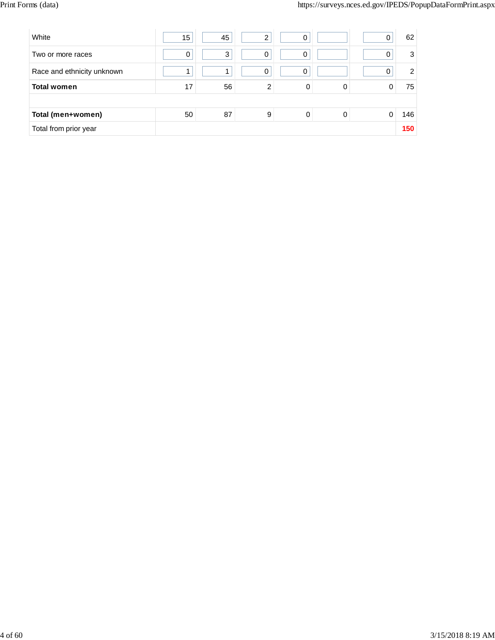| White                      | 15 | 45 | ◠ | 0 |   | 62             |
|----------------------------|----|----|---|---|---|----------------|
| Two or more races          | 0  | 3  | 0 | 0 |   | 3              |
| Race and ethnicity unknown |    |    | 0 | 0 |   | $\overline{2}$ |
| <b>Total women</b>         | 17 | 56 | 2 | 0 | 0 | 75             |
|                            |    |    |   |   |   |                |
| Total (men+women)          | 50 | 87 | 9 | 0 | 0 | 146            |
| Total from prior year      |    |    |   |   |   | 150            |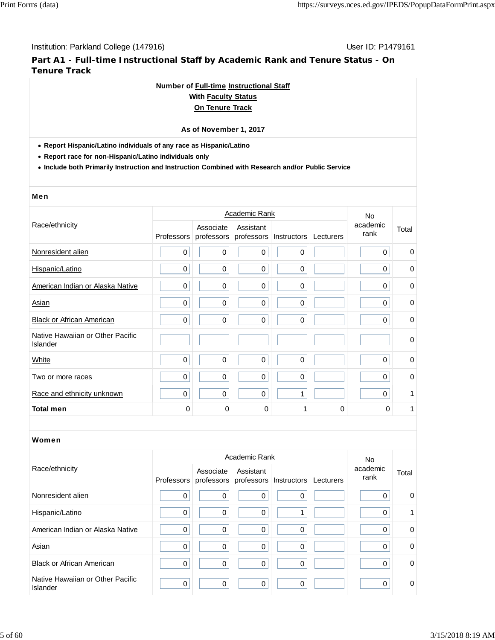**Part A1 - Full-time Instructional Staff by Academic Rank and Tenure Status - On Tenure Track**

## **Number of Full-time Instructional Staff**

## **With Faculty Status On Tenure Track**

# **As of November 1, 2017**

**Report Hispanic/Latino individuals of any race as Hispanic/Latino**

**Report race for non-Hispanic/Latino individuals only**

**Include both Primarily Instruction and Instruction Combined with Research and/or Public Service**

|                                              |             | <b>No</b>               |             |                          |           |                  |             |
|----------------------------------------------|-------------|-------------------------|-------------|--------------------------|-----------|------------------|-------------|
| Race/ethnicity                               | Professors  | Associate<br>professors | Assistant   | professors   Instructors | Lecturers | academic<br>rank | Total       |
| Nonresident alien                            | $\mathbf 0$ | 0                       | $\mathbf 0$ | 0                        |           | $\mathbf 0$      | $\mathbf 0$ |
| Hispanic/Latino                              | 0           | $\mathbf 0$             | $\mathbf 0$ | $\mathbf 0$              |           | $\mathbf 0$      | $\mathbf 0$ |
| American Indian or Alaska Native             | 0           | 0                       | $\mathbf 0$ | 0                        |           | $\Omega$         | $\mathbf 0$ |
| Asian                                        | 0           | 0                       | $\mathbf 0$ | 0                        |           | 0                | $\pmb{0}$   |
| <b>Black or African American</b>             | $\mathbf 0$ | 0                       | $\mathbf 0$ | 0                        |           | $\mathbf 0$      | $\mathbf 0$ |
| Native Hawaiian or Other Pacific<br>Islander |             |                         |             |                          |           |                  | $\mathbf 0$ |
| White                                        | $\mathbf 0$ | 0                       | $\mathbf 0$ | $\mathbf 0$              |           | $\mathbf 0$      | $\mathbf 0$ |
| Two or more races                            | 0           | 0                       | $\mathbf 0$ | 0                        |           | $\Omega$         | $\mathbf 0$ |
| Race and ethnicity unknown                   | 0           | 0                       | $\mathbf 0$ | 1                        |           | $\mathbf 0$      | 1           |
| <b>Total men</b>                             | 0           | 0                       | 0           | 1                        | 0         | $\Omega$         | 1           |
|                                              |             |                         |             |                          |           |                  |             |

|                                                     |             | <b>No</b>   |                                                           |             |           |                  |             |
|-----------------------------------------------------|-------------|-------------|-----------------------------------------------------------|-------------|-----------|------------------|-------------|
| Race/ethnicity                                      |             | Associate   | Assistant<br>Professors professors professors Instructors |             | Lecturers | academic<br>rank | Total       |
| Nonresident alien                                   | 0           | 0           | $\Omega$                                                  | 0           |           | $\Omega$         | $\mathbf 0$ |
| Hispanic/Latino                                     | $\mathbf 0$ | $\mathbf 0$ | $\mathbf 0$                                               |             |           | $\mathbf 0$      | $\mathbf 1$ |
| American Indian or Alaska Native                    | 0           | 0           | 0                                                         | $\mathbf 0$ |           | 0                | $\mathbf 0$ |
| Asian                                               | $\mathbf 0$ | $\Omega$    | $\Omega$                                                  | $\Omega$    |           | $\Omega$         | $\mathbf 0$ |
| <b>Black or African American</b>                    | $\pmb{0}$   | 0           | $\mathbf 0$                                               | 0           |           | $\mathbf 0$      | $\mathbf 0$ |
| Native Hawaiian or Other Pacific<br><b>Islander</b> | 0           | $\mathbf 0$ | $\Omega$                                                  | 0           |           | $\Omega$         | 0           |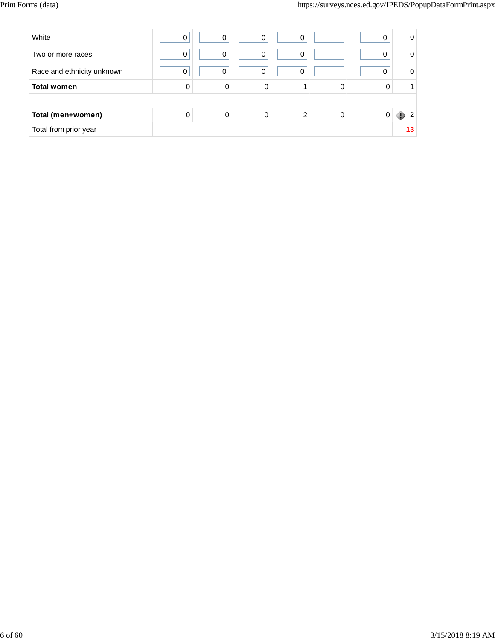| White                      | 0 |   | 0 | 0 |   | 0 | 0      |
|----------------------------|---|---|---|---|---|---|--------|
| Two or more races          | 0 | 0 | 0 | 0 |   | 0 | 0      |
| Race and ethnicity unknown | 0 | O | 0 | 0 |   | 0 | 0      |
| <b>Total women</b>         | 0 | 0 | ი |   | 0 |   |        |
|                            |   |   |   |   |   |   |        |
| Total (men+women)          | 0 | 0 |   | ົ | 0 |   | 2<br>ш |
| Total from prior year      |   |   |   |   |   |   |        |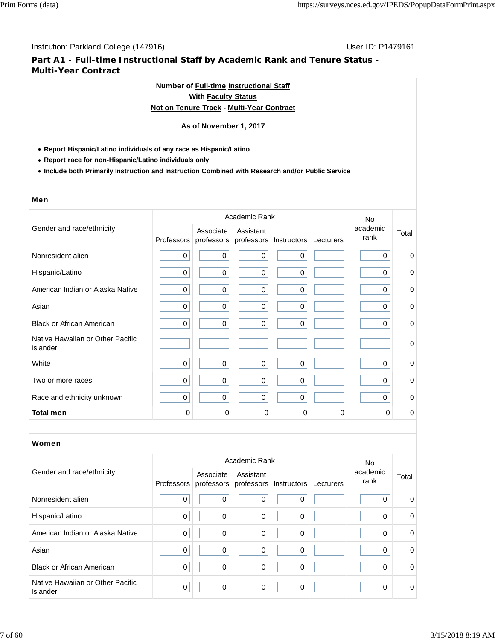**Part A1 - Full-time Instructional Staff by Academic Rank and Tenure Status - Multi-Year Contract**

# **Number of Full-time Instructional Staff**

# **With Faculty Status**

# **Not on Tenure Track - Multi-Year Contract**

## **As of November 1, 2017**

- **Report Hispanic/Latino individuals of any race as Hispanic/Latino**
- **Report race for non-Hispanic/Latino individuals only**
- **Include both Primarily Instruction and Instruction Combined with Research and/or Public Service**

## Men

|                                                     |             | <b>No</b>               |                         |             |           |                  |             |
|-----------------------------------------------------|-------------|-------------------------|-------------------------|-------------|-----------|------------------|-------------|
| Gender and race/ethnicity                           | Professors  | Associate<br>professors | Assistant<br>professors | Instructors | Lecturers | academic<br>rank | Total       |
| Nonresident alien                                   | $\mathbf 0$ | $\mathbf 0$             | $\mathbf 0$             | 0           |           | $\mathbf 0$      | 0           |
| Hispanic/Latino                                     | 0           | $\mathbf 0$             | $\mathbf 0$             | $\mathbf 0$ |           | $\mathbf 0$      | 0           |
| American Indian or Alaska Native                    | $\mathbf 0$ | $\pmb{0}$               | $\mathbf 0$             | $\mathbf 0$ |           | $\mathbf 0$      | 0           |
| Asian                                               | 0           | $\mathbf 0$             | $\mathbf 0$             | $\mathbf 0$ |           | $\Omega$         | $\mathbf 0$ |
| <b>Black or African American</b>                    | 0           | $\mathbf 0$             | $\mathbf 0$             | $\mathbf 0$ |           | 0                | $\mathbf 0$ |
| Native Hawaiian or Other Pacific<br><b>Islander</b> |             |                         |                         |             |           |                  | $\mathbf 0$ |
| White                                               | 0           | $\mathbf 0$             | $\mathbf 0$             | $\mathbf 0$ |           | $\Omega$         | $\mathbf 0$ |
| Two or more races                                   | 0           | $\mathbf 0$             | $\Omega$                | $\mathbf 0$ |           | $\Omega$         | $\mathbf 0$ |
| Race and ethnicity unknown                          | 0           | $\mathbf 0$             | $\Omega$                | $\mathbf 0$ |           | $\Omega$         | 0           |
| <b>Total men</b>                                    | 0           | 0                       | 0                       | 0           | 0         | 0                | 0           |

|                                              |             | <b>No</b> |                                                           |             |           |                  |          |
|----------------------------------------------|-------------|-----------|-----------------------------------------------------------|-------------|-----------|------------------|----------|
| Gender and race/ethnicity                    |             | Associate | Assistant<br>Professors professors professors Instructors |             | Lecturers | academic<br>rank | Total    |
| Nonresident alien                            | 0           | 0         | 0                                                         | 0           |           | 0                | $\Omega$ |
| Hispanic/Latino                              | 0           | 0         | $\Omega$                                                  | 0           |           | 0                | 0        |
| American Indian or Alaska Native             | 0           | 0         | 0                                                         | 0           |           | 0                | 0        |
| Asian                                        | $\mathbf 0$ | $\Omega$  | $\Omega$                                                  | $\Omega$    |           | $\Omega$         | $\Omega$ |
| <b>Black or African American</b>             | 0           | 0         | $\Omega$                                                  | $\mathbf 0$ |           | 0                | 0        |
| Native Hawaiian or Other Pacific<br>Islander | 0           | 0         | 0                                                         | 0           |           | 0                | 0        |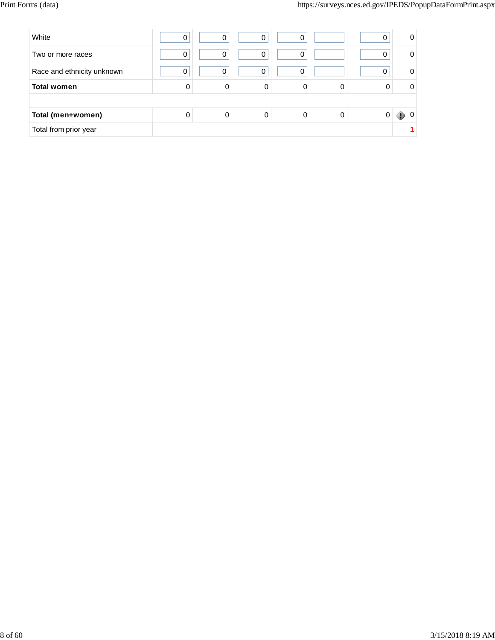| White                      | 0 |   | 0 | $\mathbf 0$ |   | 0 | 0            |
|----------------------------|---|---|---|-------------|---|---|--------------|
| Two or more races          | 0 | 0 | 0 | 0           |   | 0 | <sup>0</sup> |
| Race and ethnicity unknown | 0 | 0 | 0 | 0           |   | 0 | 0            |
| <b>Total women</b>         | 0 | 0 |   |             | 0 |   | 0            |
|                            |   |   |   |             |   |   |              |
| Total (men+women)          | 0 |   |   |             |   |   |              |
| Total from prior year      |   |   |   |             |   |   |              |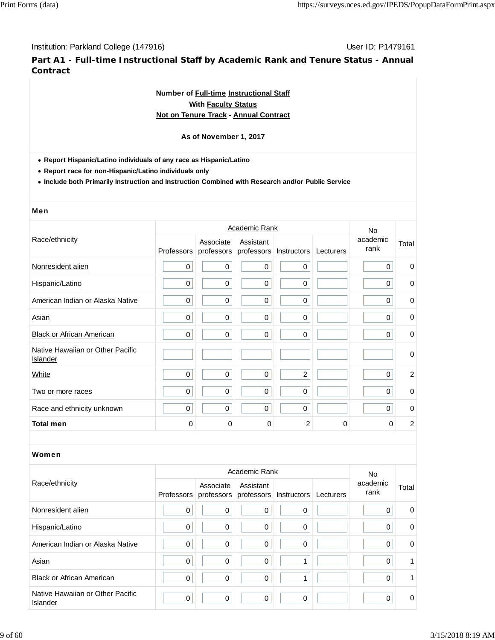**Part A1 - Full-time Instructional Staff by Academic Rank and Tenure Status - Annual Contract**

## **Number of Full-time Instructional Staff With Faculty Status Not on Tenure Track - Annual Contract**

## **As of November 1, 2017**

**Report Hispanic/Latino individuals of any race as Hispanic/Latino**

**Report race for non-Hispanic/Latino individuals only**

**Include both Primarily Instruction and Instruction Combined with Research and/or Public Service**

#### Men

|                                              |            |                         | Academic Rank           |                    |           | No.              |                |
|----------------------------------------------|------------|-------------------------|-------------------------|--------------------|-----------|------------------|----------------|
| Race/ethnicity                               | Professors | Associate<br>professors | Assistant<br>professors | <b>Instructors</b> | Lecturers | academic<br>rank | Total          |
| Nonresident alien                            | 0          | $\pmb{0}$               | 0                       | 0                  |           | 0                | $\mathbf 0$    |
| Hispanic/Latino                              | 0          | $\pmb{0}$               | 0                       | $\mathbf 0$        |           | 0                | 0              |
| American Indian or Alaska Native             | 0          | $\pmb{0}$               | 0                       | $\pmb{0}$          |           | 0                | 0              |
| Asian                                        | 0          | $\mathbf 0$             | $\mathbf 0$             | $\mathbf 0$        |           | 0                | $\mathbf 0$    |
| <b>Black or African American</b>             | 0          | $\boldsymbol{0}$        | $\mathbf 0$             | $\mathbf 0$        |           | $\mathbf 0$      | $\mathbf 0$    |
| Native Hawaiian or Other Pacific<br>Islander |            |                         |                         |                    |           |                  | $\mathbf 0$    |
| White                                        | 0          | $\mathbf 0$             | $\mathbf 0$             | $\overline{2}$     |           | $\Omega$         | $\overline{2}$ |
| Two or more races                            | 0          | $\mathbf 0$             | $\mathbf 0$             | $\mathbf 0$        |           | $\Omega$         | $\mathbf 0$    |
| Race and ethnicity unknown                   | 0          | $\boldsymbol{0}$        | $\mathbf 0$             | $\mathbf 0$        |           | $\Omega$         | $\mathbf 0$    |
| <b>Total men</b>                             | 0          | $\Omega$                | $\mathbf 0$             | 2                  | $\Omega$  | 0                | $\overline{c}$ |

|                                              |             | No.         |                                                                     |             |                  |             |
|----------------------------------------------|-------------|-------------|---------------------------------------------------------------------|-------------|------------------|-------------|
| Race/ethnicity                               |             | Associate   | Assistant<br>Professors professors professors Instructors Lecturers |             | academic<br>rank | Total       |
| Nonresident alien                            | $\mathbf 0$ | $\mathbf 0$ | 0                                                                   | $\Omega$    | 0                | 0           |
| Hispanic/Latino                              | 0           | 0           | 0                                                                   | $\Omega$    | 0                | $\mathbf 0$ |
| American Indian or Alaska Native             | 0           | 0           | 0                                                                   | $\mathbf 0$ | 0                | 0           |
| Asian                                        | 0           | $\mathbf 0$ | $\Omega$                                                            |             | $\Omega$         | 1.          |
| <b>Black or African American</b>             | 0           | 0           | 0                                                                   |             | 0                |             |
| Native Hawaiian or Other Pacific<br>Islander | 0           | 0           | $\mathbf 0$                                                         | $\mathbf 0$ | $\Omega$         | 0           |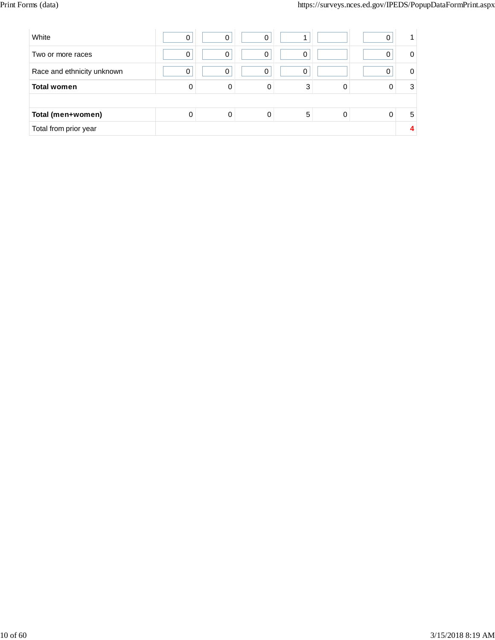| White                      | 0 | $\Omega$ | 0 |   |  |   |
|----------------------------|---|----------|---|---|--|---|
| Two or more races          | 0 | 0        | 0 | 0 |  | 0 |
| Race and ethnicity unknown | 0 | 0        | 0 | 0 |  | 0 |
| <b>Total women</b>         | 0 | 0        | 0 | 3 |  | 3 |
|                            |   |          |   |   |  |   |
| Total (men+women)          | 0 | 0        | 0 | 5 |  | 5 |
| Total from prior year      |   |          |   |   |  |   |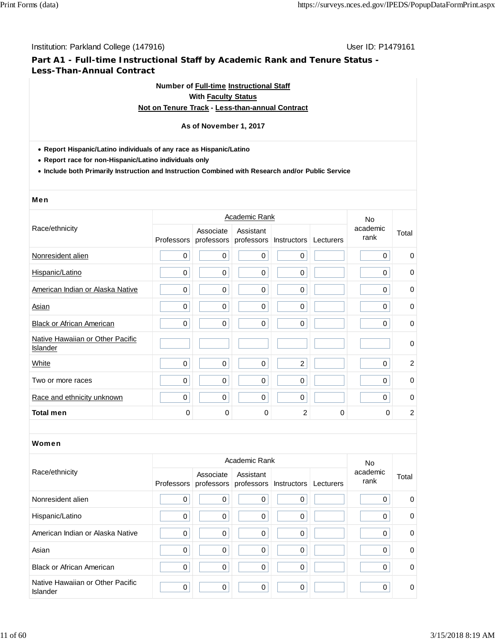## **Part A1 - Full-time Instructional Staff by Academic Rank and Tenure Status - Less-Than-Annual Contract**

## **Number of Full-time Instructional Staff With Faculty Status Not on Tenure Track - Less-than-annual Contract**

# **As of November 1, 2017**

## **Report Hispanic/Latino individuals of any race as Hispanic/Latino**

**Report race for non-Hispanic/Latino individuals only**

**Include both Primarily Instruction and Instruction Combined with Research and/or Public Service**

#### Men

|                                              |             |                         | Academic Rank |                          |           | No.              |             |
|----------------------------------------------|-------------|-------------------------|---------------|--------------------------|-----------|------------------|-------------|
| Race/ethnicity                               | Professors  | Associate<br>professors | Assistant     | professors   Instructors | Lecturers | academic<br>rank | Total       |
| Nonresident alien                            | 0           | 0                       | $\mathbf 0$   | 0                        |           | $\mathbf 0$      | 0           |
| Hispanic/Latino                              | 0           | 0                       | 0             | $\mathbf 0$              |           | 0                | $\mathbf 0$ |
| American Indian or Alaska Native             | 0           | 0                       | 0             | $\mathbf 0$              |           | 0                | $\mathbf 0$ |
| Asian                                        | 0           | 0                       | 0             | 0                        |           | 0                | $\mathbf 0$ |
| <b>Black or African American</b>             | 0           | $\mathbf 0$             | 0             | 0                        |           | 0                | 0           |
| Native Hawaiian or Other Pacific<br>Islander |             |                         |               |                          |           |                  | $\mathbf 0$ |
| White                                        | 0           | 0                       | 0             | $\overline{2}$           |           | 0                | 2           |
| Two or more races                            | $\mathbf 0$ | $\mathbf 0$             | 0             | 0                        |           | 0                | $\mathbf 0$ |
| Race and ethnicity unknown                   | 0           | $\mathbf 0$             | $\mathbf 0$   | 0                        |           | 0                | $\mathbf 0$ |
| <b>Total men</b>                             | 0           | 0                       | 0             | 2                        | 0         | 0                | 2           |

|                                              | Academic Rank |           |                                                           |             |           |                         |          |
|----------------------------------------------|---------------|-----------|-----------------------------------------------------------|-------------|-----------|-------------------------|----------|
| Race/ethnicity                               |               | Associate | Assistant<br>Professors professors professors Instructors |             | Lecturers | No.<br>academic<br>rank | Total    |
| Nonresident alien                            | 0             | 0         | 0                                                         | $\mathbf 0$ |           | 0                       | 0        |
| Hispanic/Latino                              | 0             | 0         | 0                                                         | $\mathbf 0$ |           | 0                       | 0        |
| American Indian or Alaska Native             | 0             | 0         | 0                                                         | 0           |           | 0                       | $\Omega$ |
| Asian                                        | $\mathbf 0$   | $\Omega$  | $\Omega$                                                  | 0           |           | 0                       | $\Omega$ |
| <b>Black or African American</b>             | $\mathbf 0$   | 0         | $\Omega$                                                  | 0           |           | 0                       | 0        |
| Native Hawaiian or Other Pacific<br>Islander | $\mathbf 0$   | 0         | $\mathbf 0$                                               | $\mathbf 0$ |           | 0                       | 0        |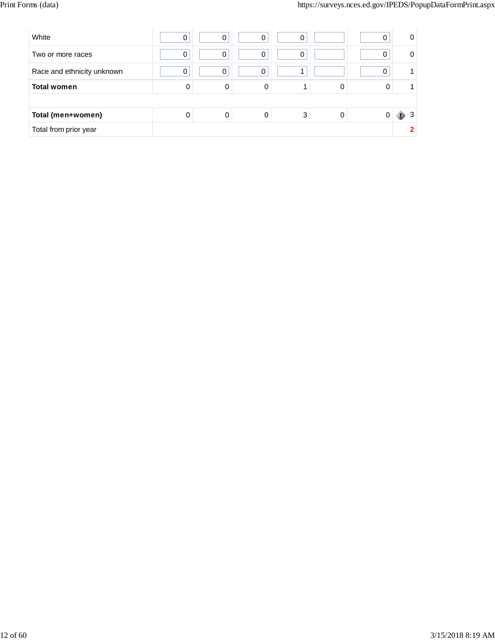| White                      | 0 |   | 0 | 0 |   | 0 | 0      |
|----------------------------|---|---|---|---|---|---|--------|
| Two or more races          | 0 | 0 | 0 | 0 |   | 0 |        |
| Race and ethnicity unknown | 0 | O | 0 |   |   | 0 |        |
| <b>Total women</b>         | 0 | 0 | 0 |   | 0 |   |        |
|                            |   |   |   |   |   |   |        |
| Total (men+women)          | 0 | 0 |   | 3 | 0 |   | 3<br>ю |
| Total from prior year      |   |   |   |   |   |   |        |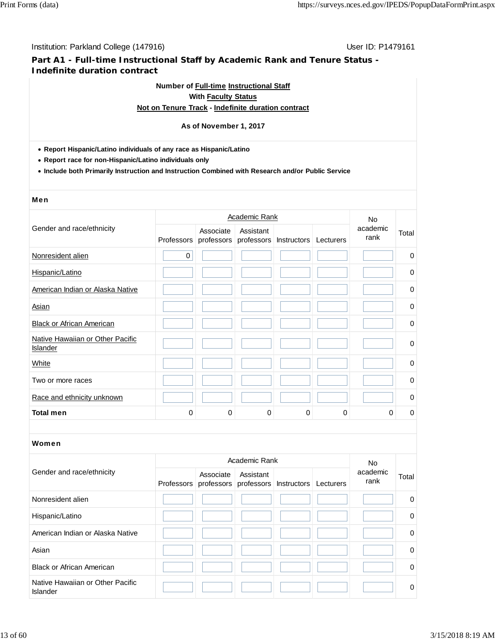## **Part A1 - Full-time Instructional Staff by Academic Rank and Tenure Status - Indefinite duration contract**

# **Number of Full-time Instructional Staff With Faculty Status**

## **Not on Tenure Track - Indefinite duration contract**

## **As of November 1, 2017**

- **Report Hispanic/Latino individuals of any race as Hispanic/Latino**
- **Report race for non-Hispanic/Latino individuals only**
- **Include both Primarily Instruction and Instruction Combined with Research and/or Public Service**

#### Men

|                                                     |             |                         | Academic Rank |                        |           | <b>No</b>        |             |  |
|-----------------------------------------------------|-------------|-------------------------|---------------|------------------------|-----------|------------------|-------------|--|
| Gender and race/ethnicity                           | Professors  | Associate<br>professors | Assistant     | professors Instructors | Lecturers | academic<br>rank | Total       |  |
| Nonresident alien                                   | $\mathbf 0$ |                         |               |                        |           |                  | $\mathbf 0$ |  |
| Hispanic/Latino                                     |             |                         |               |                        |           |                  | 0           |  |
| American Indian or Alaska Native                    |             |                         |               |                        |           |                  | 0           |  |
| Asian                                               |             |                         |               |                        |           |                  | 0           |  |
| <b>Black or African American</b>                    |             |                         |               |                        |           |                  | 0           |  |
| Native Hawaiian or Other Pacific<br><b>Islander</b> |             |                         |               |                        |           |                  | $\mathbf 0$ |  |
| White                                               |             |                         |               |                        |           |                  | 0           |  |
| Two or more races                                   |             |                         |               |                        |           |                  | 0           |  |
| Race and ethnicity unknown                          |             |                         |               |                        |           |                  | $\pmb{0}$   |  |
| <b>Total men</b>                                    | $\Omega$    | 0                       | 0             | 0                      | 0         | 0                | 0           |  |

|                                              | Academic Rank                                                       |           |  |  |                  |          |  |
|----------------------------------------------|---------------------------------------------------------------------|-----------|--|--|------------------|----------|--|
| Gender and race/ethnicity                    | Associate<br>Professors professors professors Instructors Lecturers | Assistant |  |  | academic<br>rank | Total    |  |
| Nonresident alien                            |                                                                     |           |  |  |                  | 0        |  |
| Hispanic/Latino                              |                                                                     |           |  |  |                  | $\Omega$ |  |
| American Indian or Alaska Native             |                                                                     |           |  |  |                  | $\Omega$ |  |
| Asian                                        |                                                                     |           |  |  |                  | $\Omega$ |  |
| <b>Black or African American</b>             |                                                                     |           |  |  |                  | $\Omega$ |  |
| Native Hawaiian or Other Pacific<br>Islander |                                                                     |           |  |  |                  | $\Omega$ |  |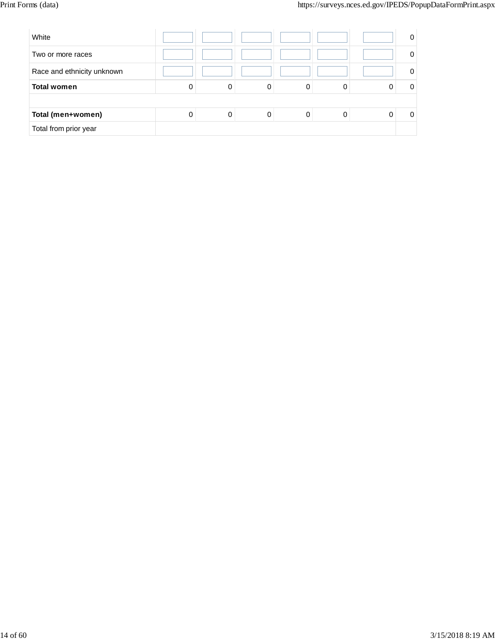| White                      |   |   |   |   | 0 |
|----------------------------|---|---|---|---|---|
| Two or more races          |   |   |   |   |   |
| Race and ethnicity unknown |   |   |   |   |   |
| <b>Total women</b>         | 0 | 0 | 0 | 0 |   |
|                            |   |   |   |   |   |
| Total (men+women)          | 0 | 0 | 0 | 0 |   |
| Total from prior year      |   |   |   |   |   |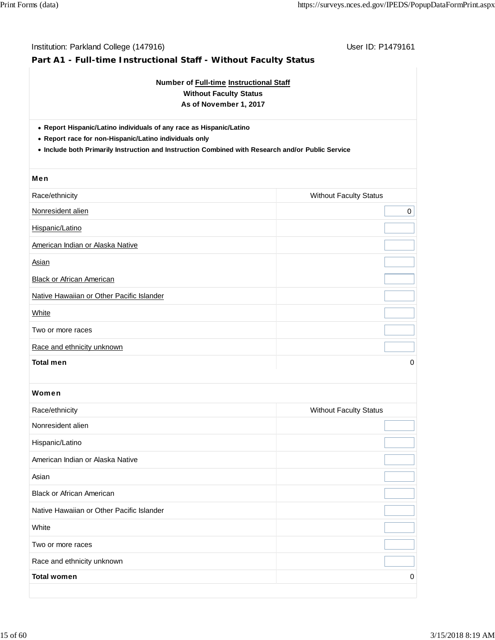| Number of Full-time Instructional Staff<br><b>Without Faculty Status</b><br>As of November 1, 2017<br>• Report Hispanic/Latino individuals of any race as Hispanic/Latino<br>• Report race for non-Hispanic/Latino individuals only<br>. Include both Primarily Instruction and Instruction Combined with Research and/or Public Service |                               |   |  |  |  |  |  |
|------------------------------------------------------------------------------------------------------------------------------------------------------------------------------------------------------------------------------------------------------------------------------------------------------------------------------------------|-------------------------------|---|--|--|--|--|--|
|                                                                                                                                                                                                                                                                                                                                          |                               |   |  |  |  |  |  |
| Race/ethnicity                                                                                                                                                                                                                                                                                                                           | <b>Without Faculty Status</b> |   |  |  |  |  |  |
| Nonresident alien                                                                                                                                                                                                                                                                                                                        |                               | 0 |  |  |  |  |  |
| Hispanic/Latino                                                                                                                                                                                                                                                                                                                          |                               |   |  |  |  |  |  |
| American Indian or Alaska Native                                                                                                                                                                                                                                                                                                         |                               |   |  |  |  |  |  |
| <b>Asian</b>                                                                                                                                                                                                                                                                                                                             |                               |   |  |  |  |  |  |
| <b>Black or African American</b>                                                                                                                                                                                                                                                                                                         |                               |   |  |  |  |  |  |
| Native Hawaiian or Other Pacific Islander                                                                                                                                                                                                                                                                                                |                               |   |  |  |  |  |  |
| White                                                                                                                                                                                                                                                                                                                                    |                               |   |  |  |  |  |  |
| Two or more races                                                                                                                                                                                                                                                                                                                        |                               |   |  |  |  |  |  |
| Race and ethnicity unknown                                                                                                                                                                                                                                                                                                               |                               |   |  |  |  |  |  |
| <b>Total men</b>                                                                                                                                                                                                                                                                                                                         |                               | 0 |  |  |  |  |  |
| Women                                                                                                                                                                                                                                                                                                                                    |                               |   |  |  |  |  |  |
| Race/ethnicity                                                                                                                                                                                                                                                                                                                           | <b>Without Faculty Status</b> |   |  |  |  |  |  |
| Nonresident alien                                                                                                                                                                                                                                                                                                                        |                               |   |  |  |  |  |  |
| Hispanic/Latino                                                                                                                                                                                                                                                                                                                          |                               |   |  |  |  |  |  |
| American Indian or Alaska Native                                                                                                                                                                                                                                                                                                         |                               |   |  |  |  |  |  |
| Asian                                                                                                                                                                                                                                                                                                                                    |                               |   |  |  |  |  |  |
| <b>Black or African American</b>                                                                                                                                                                                                                                                                                                         |                               |   |  |  |  |  |  |
| Native Hawaiian or Other Pacific Islander                                                                                                                                                                                                                                                                                                |                               |   |  |  |  |  |  |
| White                                                                                                                                                                                                                                                                                                                                    |                               |   |  |  |  |  |  |
| Two or more races                                                                                                                                                                                                                                                                                                                        |                               |   |  |  |  |  |  |
| Race and ethnicity unknown                                                                                                                                                                                                                                                                                                               |                               |   |  |  |  |  |  |
|                                                                                                                                                                                                                                                                                                                                          |                               |   |  |  |  |  |  |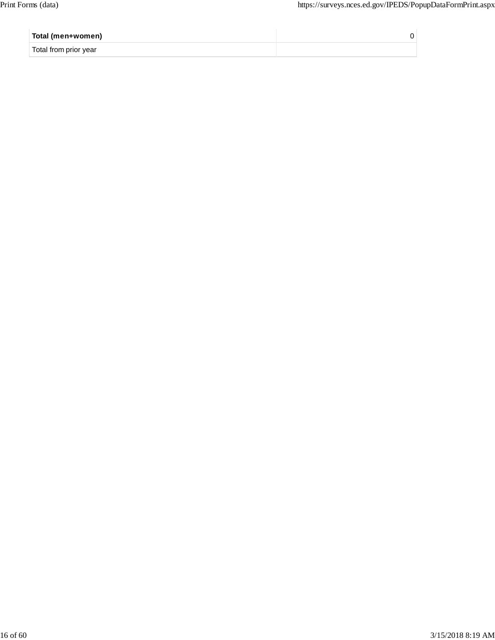| Total (men+women)     |  |
|-----------------------|--|
| Total from prior year |  |
|                       |  |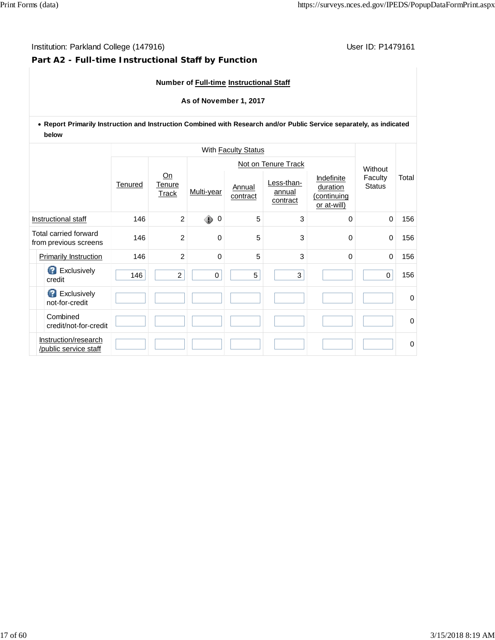## **Part A2 - Full-time Instructional Staff by Function**

**Number of Full-time Instructional Staff**

**As of November 1, 2017**

**Report Primarily Instruction and Instruction Combined with Research and/or Public Service separately, as indicated below**

| With Faculty Status                            |                                               |                |                       |        |                    |                                  |                                                      |                          |       |
|------------------------------------------------|-----------------------------------------------|----------------|-----------------------|--------|--------------------|----------------------------------|------------------------------------------------------|--------------------------|-------|
|                                                |                                               |                |                       |        |                    | Not on Tenure Track              |                                                      | Without                  | Total |
|                                                |                                               | Tenured        | Qn<br>Tenure<br>Track |        | Annual<br>contract | Less-than-<br>annual<br>contract | Indefinite<br>duration<br>(continuing<br>or at-will) | Faculty<br><b>Status</b> |       |
|                                                | Instructional staff                           | 146            | $\overline{2}$        | ۰<br>0 | 5                  | 3                                | $\Omega$                                             | $\mathbf 0$              | 156   |
| Total carried forward<br>from previous screens |                                               | 146            | $\overline{2}$        | 0      | 5                  | 3                                | 0                                                    | $\mathbf 0$              | 156   |
| 146<br><b>Primarily Instruction</b>            |                                               | $\overline{2}$ | 0                     | 5      | 3                  | 0                                | $\mathbf 0$                                          | 156                      |       |
|                                                | <b>B</b> Exclusively<br>credit                | 146            | $\overline{2}$        | 0      | 5                  | 3                                |                                                      | $\mathbf 0$              | 156   |
|                                                | Exclusively<br>not-for-credit                 |                |                       |        |                    |                                  |                                                      |                          | 0     |
|                                                | Combined<br>credit/not-for-credit             |                |                       |        |                    |                                  |                                                      |                          | 0     |
|                                                | Instruction/research<br>/public service staff |                |                       |        |                    |                                  |                                                      |                          | 0     |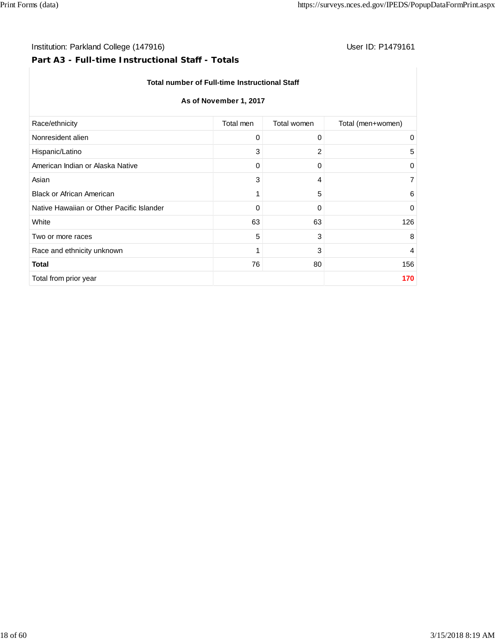## Institution: Parkland College (147916) **User ID: P1479161** User ID: P1479161

# **Part A3 - Full-time Instructional Staff - Totals**

## **Total number of Full-time Instructional Staff**

## **As of November 1, 2017**

| Total (men+women)<br>Race/ethnicity<br>Total men<br>Total women<br>Nonresident alien<br>0<br>0<br>0<br>3<br>2<br>Hispanic/Latino<br>5<br>American Indian or Alaska Native<br>0<br>0<br>0<br>3<br>Asian<br>$\overline{7}$<br>4<br><b>Black or African American</b><br>5<br>1<br>6<br>Native Hawaiian or Other Pacific Islander<br>0<br>0<br>$\mathbf 0$<br>63<br>63<br>126<br>White<br>5<br>3<br>8<br>Two or more races<br>3<br>1<br>Race and ethnicity unknown<br>$\overline{4}$<br>76<br>80<br><b>Total</b><br>156<br>Total from prior year<br>170 |  |  |
|-----------------------------------------------------------------------------------------------------------------------------------------------------------------------------------------------------------------------------------------------------------------------------------------------------------------------------------------------------------------------------------------------------------------------------------------------------------------------------------------------------------------------------------------------------|--|--|
|                                                                                                                                                                                                                                                                                                                                                                                                                                                                                                                                                     |  |  |
|                                                                                                                                                                                                                                                                                                                                                                                                                                                                                                                                                     |  |  |
|                                                                                                                                                                                                                                                                                                                                                                                                                                                                                                                                                     |  |  |
|                                                                                                                                                                                                                                                                                                                                                                                                                                                                                                                                                     |  |  |
|                                                                                                                                                                                                                                                                                                                                                                                                                                                                                                                                                     |  |  |
|                                                                                                                                                                                                                                                                                                                                                                                                                                                                                                                                                     |  |  |
|                                                                                                                                                                                                                                                                                                                                                                                                                                                                                                                                                     |  |  |
|                                                                                                                                                                                                                                                                                                                                                                                                                                                                                                                                                     |  |  |
|                                                                                                                                                                                                                                                                                                                                                                                                                                                                                                                                                     |  |  |
|                                                                                                                                                                                                                                                                                                                                                                                                                                                                                                                                                     |  |  |
|                                                                                                                                                                                                                                                                                                                                                                                                                                                                                                                                                     |  |  |
|                                                                                                                                                                                                                                                                                                                                                                                                                                                                                                                                                     |  |  |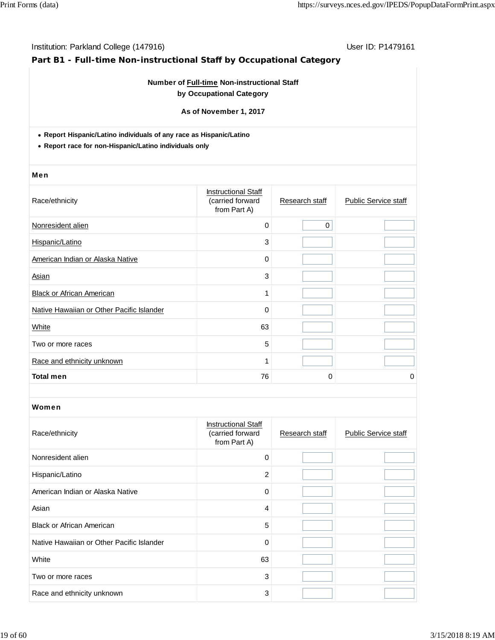# **Part B1 - Full-time Non-instructional Staff by Occupational Category**

## **Number of Full-time Non-instructional Staff by Occupational Category**

**As of November 1, 2017**

**Report Hispanic/Latino individuals of any race as Hispanic/Latino**

**Report race for non-Hispanic/Latino individuals only**

#### Men

| Race/ethnicity                            | <b>Instructional Staff</b><br>(carried forward<br>from Part A) | Research staff | <b>Public Service staff</b> |
|-------------------------------------------|----------------------------------------------------------------|----------------|-----------------------------|
| Nonresident alien                         | $\mathbf 0$                                                    | 0              |                             |
| Hispanic/Latino                           | 3                                                              |                |                             |
| American Indian or Alaska Native          | 0                                                              |                |                             |
| Asian                                     | 3                                                              |                |                             |
| <b>Black or African American</b>          | 1                                                              |                |                             |
| Native Hawaiian or Other Pacific Islander | 0                                                              |                |                             |
| White                                     | 63                                                             |                |                             |
| Two or more races                         | 5                                                              |                |                             |
| Race and ethnicity unknown                | 1                                                              |                |                             |
| <b>Total men</b>                          | 76                                                             | 0              | 0                           |

| Race/ethnicity                            | <b>Instructional Staff</b><br>(carried forward<br>from Part A) | Research staff | <b>Public Service staff</b> |
|-------------------------------------------|----------------------------------------------------------------|----------------|-----------------------------|
| Nonresident alien                         | $\Omega$                                                       |                |                             |
| Hispanic/Latino                           | $\overline{2}$                                                 |                |                             |
| American Indian or Alaska Native          | $\Omega$                                                       |                |                             |
| Asian                                     | 4                                                              |                |                             |
| <b>Black or African American</b>          | 5                                                              |                |                             |
| Native Hawaiian or Other Pacific Islander | 0                                                              |                |                             |
| White                                     | 63                                                             |                |                             |
| Two or more races                         | 3                                                              |                |                             |
| Race and ethnicity unknown                | 3                                                              |                |                             |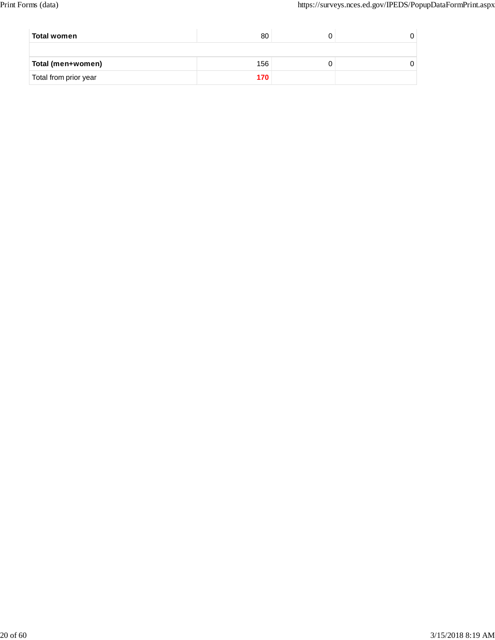| Total women           | 80  |  |
|-----------------------|-----|--|
|                       |     |  |
| Total (men+women)     | 156 |  |
| Total from prior year |     |  |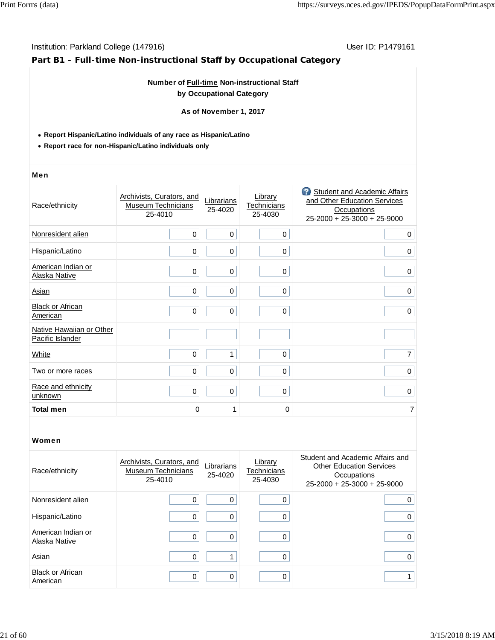## **Part B1 - Full-time Non-instructional Staff by Occupational Category**

## **Number of Full-time Non-instructional Staff by Occupational Category**

**As of November 1, 2017**

- **Report Hispanic/Latino individuals of any race as Hispanic/Latino**
- **Report race for non-Hispanic/Latino individuals only**

#### Men

| Race/ethnicity                               | Archivists, Curators, and<br><b>Museum Technicians</b><br>25-4010 | Librarians<br>25-4020 | Library<br>Technicians<br>25-4030 | <b>3</b> Student and Academic Affairs<br>and Other Education Services<br><b>Occupations</b><br>25-2000 + 25-3000 + 25-9000 |
|----------------------------------------------|-------------------------------------------------------------------|-----------------------|-----------------------------------|----------------------------------------------------------------------------------------------------------------------------|
| Nonresident alien                            | $\mathbf 0$                                                       | 0                     | $\mathbf 0$                       | $\mathbf 0$                                                                                                                |
| Hispanic/Latino                              | 0                                                                 | 0                     | $\mathbf 0$                       | $\mathbf 0$                                                                                                                |
| American Indian or<br>Alaska Native          | 0                                                                 | 0                     | $\mathbf 0$                       | $\mathbf 0$                                                                                                                |
| Asian                                        | 0                                                                 | 0                     | $\mathbf 0$                       | $\mathbf 0$                                                                                                                |
| <b>Black or African</b><br>American          | $\mathbf 0$                                                       | 0                     | 0                                 | 0                                                                                                                          |
| Native Hawaiian or Other<br>Pacific Islander |                                                                   |                       |                                   |                                                                                                                            |
| White                                        | 0                                                                 | 1                     | $\Omega$                          | 7                                                                                                                          |
| Two or more races                            | $\mathbf 0$                                                       | 0                     | $\Omega$                          | $\mathbf 0$                                                                                                                |
| Race and ethnicity<br>unknown                | $\mathbf 0$                                                       | 0                     | $\mathbf 0$                       | $\mathbf 0$                                                                                                                |
| <b>Total men</b>                             | 0                                                                 | 1                     | 0                                 | 7                                                                                                                          |

| Race/ethnicity                      | Archivists, Curators, and<br><b>Museum Technicians</b><br>25-4010 | Librarians<br>25-4020 | Library<br>Technicians<br>25-4030 | Student and Academic Affairs and<br><b>Other Education Services</b><br>Occupations<br>$25-2000 + 25-3000 + 25-9000$ |
|-------------------------------------|-------------------------------------------------------------------|-----------------------|-----------------------------------|---------------------------------------------------------------------------------------------------------------------|
| Nonresident alien                   | 0                                                                 |                       |                                   | 0                                                                                                                   |
| Hispanic/Latino                     | 0                                                                 |                       |                                   | 0                                                                                                                   |
| American Indian or<br>Alaska Native | 0                                                                 | O                     |                                   | 0                                                                                                                   |
| Asian                               | 0                                                                 |                       |                                   | 0                                                                                                                   |
| <b>Black or African</b><br>American | 0                                                                 | ∩                     |                                   |                                                                                                                     |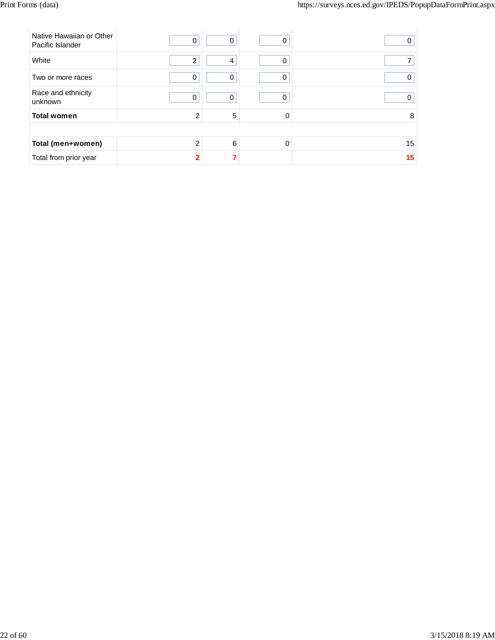| Native Hawaiian or Other<br>Pacific Islander | 0              | 0 | 0 | O  |  |  |  |  |
|----------------------------------------------|----------------|---|---|----|--|--|--|--|
| White                                        | $\overline{2}$ | 4 | 0 |    |  |  |  |  |
| Two or more races                            | 0              | 0 | 0 |    |  |  |  |  |
| Race and ethnicity<br>unknown                | 0              | 0 | 0 |    |  |  |  |  |
| <b>Total women</b>                           | 2              | 5 | 0 | 8  |  |  |  |  |
|                                              |                |   |   |    |  |  |  |  |
| Total (men+women)                            | $\mathfrak{p}$ | 6 | 0 | 15 |  |  |  |  |
| Total from prior year                        | $\mathbf{c}$   |   |   | 15 |  |  |  |  |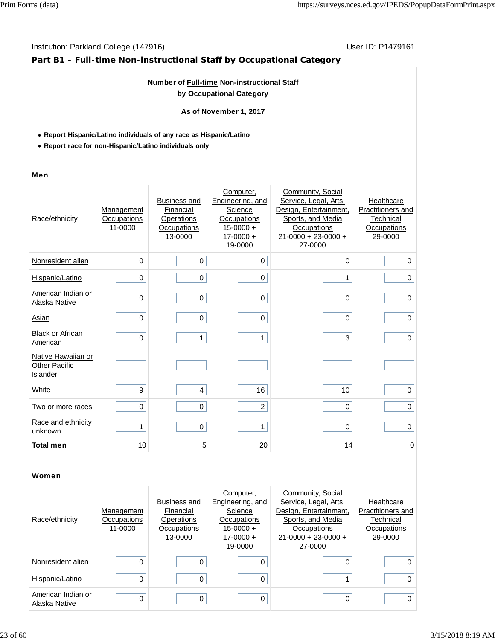## **Part B1 - Full-time Non-instructional Staff by Occupational Category**

## **Number of Full-time Non-instructional Staff by Occupational Category**

## **As of November 1, 2017**

- **Report Hispanic/Latino individuals of any race as Hispanic/Latino**
- **Report race for non-Hispanic/Latino individuals only**

#### Men

| Race/ethnicity                                         | Management<br>Occupations<br>11-0000 | <b>Business and</b><br>Financial<br>Operations<br>Occupations<br>13-0000 | Computer,<br>Engineering, and<br>Science<br>Occupations<br>$15-0000 +$<br>$17 - 0000 +$<br>19-0000 | Community, Social<br>Service, Legal, Arts,<br>Design, Entertainment,<br>Sports, and Media<br>Occupations<br>$21 - 0000 + 23 - 0000 +$<br>27-0000 | Healthcare<br>Practitioners and<br>Technical<br>Occupations<br>29-0000 |
|--------------------------------------------------------|--------------------------------------|--------------------------------------------------------------------------|----------------------------------------------------------------------------------------------------|--------------------------------------------------------------------------------------------------------------------------------------------------|------------------------------------------------------------------------|
| Nonresident alien                                      | $\mathbf 0$                          | $\mathbf 0$                                                              | 0                                                                                                  | $\mathbf 0$                                                                                                                                      | $\mathbf 0$                                                            |
| Hispanic/Latino                                        | 0                                    | $\mathbf 0$                                                              | 0                                                                                                  | 1                                                                                                                                                | $\mathbf 0$                                                            |
| American Indian or<br>Alaska Native                    | 0                                    | 0                                                                        | 0                                                                                                  | 0                                                                                                                                                | $\mathbf 0$                                                            |
| Asian                                                  | 0                                    | $\mathbf 0$                                                              | 0                                                                                                  | $\mathbf 0$                                                                                                                                      | 0                                                                      |
| <b>Black or African</b><br>American                    | $\mathbf 0$                          | 1                                                                        | $\mathbf{1}$                                                                                       | 3                                                                                                                                                | $\mathbf 0$                                                            |
| Native Hawaiian or<br><b>Other Pacific</b><br>Islander |                                      |                                                                          |                                                                                                    |                                                                                                                                                  |                                                                        |
| White                                                  | 9                                    | 4                                                                        | 16                                                                                                 | 10                                                                                                                                               | $\pmb{0}$                                                              |
| Two or more races                                      | 0                                    | $\boldsymbol{0}$                                                         | $\overline{c}$                                                                                     | 0                                                                                                                                                | $\pmb{0}$                                                              |
| Race and ethnicity<br>unknown                          | $\mathbf{1}$                         | $\mathbf 0$                                                              | 1                                                                                                  | 0                                                                                                                                                | $\mathbf 0$                                                            |
| <b>Total men</b>                                       | 10                                   | 5                                                                        | 20                                                                                                 | 14                                                                                                                                               | 0                                                                      |

| Race/ethnicity                      | Management<br>Occupations<br>11-0000 | <b>Business and</b><br>Financial<br>Operations<br>Occupations<br>13-0000 | Computer,<br>Engineering, and<br>Science<br>Occupations<br>$15-0000 +$<br>$17-0000 +$<br>19-0000 | Community, Social<br>Service, Legal, Arts,<br>Design, Entertainment,<br>Sports, and Media<br>Occupations<br>$21 - 0000 + 23 - 0000 +$<br>27-0000 | Healthcare<br>Practitioners and<br>Technical<br>Occupations<br>29-0000 |
|-------------------------------------|--------------------------------------|--------------------------------------------------------------------------|--------------------------------------------------------------------------------------------------|--------------------------------------------------------------------------------------------------------------------------------------------------|------------------------------------------------------------------------|
| Nonresident alien                   | 0                                    |                                                                          |                                                                                                  | 0                                                                                                                                                | 0                                                                      |
| Hispanic/Latino                     | 0                                    |                                                                          | 0                                                                                                |                                                                                                                                                  | $\Omega$                                                               |
| American Indian or<br>Alaska Native | 0                                    | ∩                                                                        | $\Omega$                                                                                         | 0                                                                                                                                                | 0                                                                      |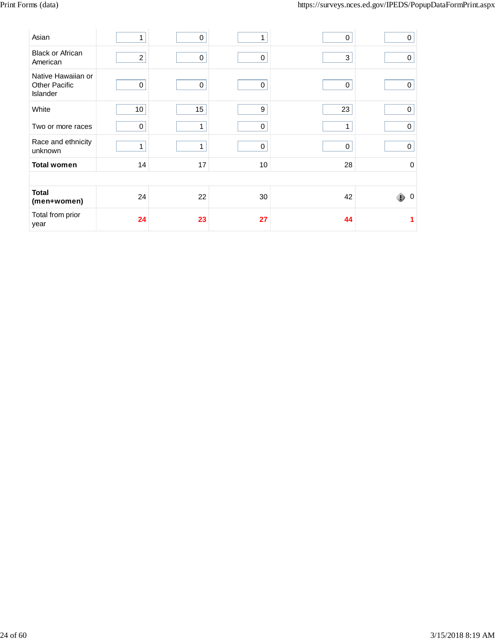| Asian                                                  | 1               | 0  |             | 0  | 0                   |
|--------------------------------------------------------|-----------------|----|-------------|----|---------------------|
| <b>Black or African</b><br>American                    | $\overline{2}$  | 0  | $\mathbf 0$ | 3  | $\Omega$            |
| Native Hawaiian or<br><b>Other Pacific</b><br>Islander | $\mathbf 0$     | 0  | $\mathbf 0$ | 0  | $\Omega$            |
| White                                                  | 10 <sup>1</sup> | 15 | 9           | 23 | $\mathbf 0$         |
| Two or more races                                      | 0               | 1  | 0           | 1  | $\mathbf 0$         |
| Race and ethnicity<br>unknown                          | 1               | 1  | 0           | 0  | $\mathbf 0$         |
| <b>Total women</b>                                     | 14              | 17 | 10          | 28 | $\mathbf 0$         |
|                                                        |                 |    |             |    |                     |
| <b>Total</b><br>(men+women)                            | 24              | 22 | 30          | 42 | $\overline{0}$<br>⊕ |
| Total from prior<br>year                               | 24              | 23 | 27          | 44 |                     |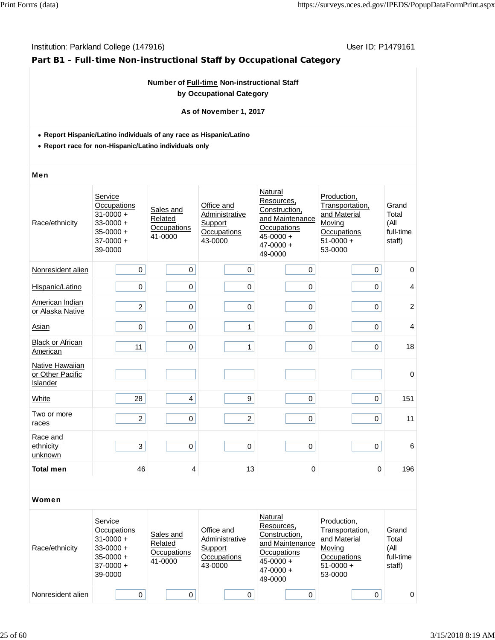## **Part B1 - Full-time Non-instructional Staff by Occupational Category**

## **Number of Full-time Non-instructional Staff by Occupational Category**

## **As of November 1, 2017**

- **Report Hispanic/Latino individuals of any race as Hispanic/Latino**
- **Report race for non-Hispanic/Latino individuals only**

#### Men

| Race/ethnicity                                         | Service<br>Occupations<br>$31 - 0000 +$<br>$33 - 0000 +$<br>$35 - 0000 +$<br>$37-0000 +$<br>39-0000 | Sales and<br>Related<br>Occupations<br>41-0000 | Office and<br>Administrative<br>Support<br>Occupations<br>43-0000 | Natural<br>Resources,<br>Construction,<br>and Maintenance<br>Occupations<br>$45 - 0000 +$<br>$47 - 0000 +$<br>49-0000 | Production,<br>Transportation,<br>and Material<br>Moving<br>Occupations<br>$51-0000 +$<br>53-0000 | Grand<br>Total<br>(All<br>full-time<br>staff) |
|--------------------------------------------------------|-----------------------------------------------------------------------------------------------------|------------------------------------------------|-------------------------------------------------------------------|-----------------------------------------------------------------------------------------------------------------------|---------------------------------------------------------------------------------------------------|-----------------------------------------------|
| Nonresident alien                                      | 0                                                                                                   | $\mathbf 0$                                    | 0                                                                 | 0                                                                                                                     | 0                                                                                                 | 0                                             |
| Hispanic/Latino                                        | 0                                                                                                   | 0                                              | $\pmb{0}$                                                         | $\pmb{0}$                                                                                                             | 0                                                                                                 | 4                                             |
| American Indian<br>or Alaska Native                    | $\overline{2}$                                                                                      | $\mathbf 0$                                    | $\pmb{0}$                                                         | $\pmb{0}$                                                                                                             | 0                                                                                                 | $\overline{c}$                                |
| Asian                                                  | $\mathbf 0$                                                                                         | $\mathbf 0$                                    | 1                                                                 | $\mathbf 0$                                                                                                           | 0                                                                                                 | $\overline{4}$                                |
| <b>Black or African</b><br>American                    | 11                                                                                                  | $\pmb{0}$                                      | 1                                                                 | $\pmb{0}$                                                                                                             | 0                                                                                                 | 18                                            |
| Native Hawaiian<br>or Other Pacific<br><b>Islander</b> |                                                                                                     |                                                |                                                                   |                                                                                                                       |                                                                                                   | $\pmb{0}$                                     |
| White                                                  | 28                                                                                                  | $\overline{\mathbf{4}}$                        | 9                                                                 | $\pmb{0}$                                                                                                             | 0                                                                                                 | 151                                           |
| Two or more<br>races                                   | $\overline{2}$                                                                                      | $\mathbf 0$                                    | $\overline{c}$                                                    | $\mathbf 0$                                                                                                           | 0                                                                                                 | 11                                            |
| Race and<br>ethnicity<br>unknown                       | 3                                                                                                   | $\pmb{0}$                                      | $\pmb{0}$                                                         | $\pmb{0}$                                                                                                             | 0                                                                                                 | 6                                             |
| <b>Total men</b>                                       | 46                                                                                                  | 4                                              | 13                                                                | $\pmb{0}$                                                                                                             | $\mathbf 0$                                                                                       | 196                                           |

| Race/ethnicity    | Service<br>Occupations<br>$31 - 0000 +$<br>$33-0000 +$<br>$35-0000 +$<br>$37-0000 +$<br>39-0000 | Sales and<br>Related<br>Occupations<br>41-0000 | Office and<br>Administrative<br>Support<br>Occupations<br>43-0000 | Natural<br>Resources,<br>Construction,<br>and Maintenance<br>Occupations<br>$45 - 0000 +$<br>$47 - 0000 +$<br>49-0000 | Production,<br>Transportation,<br>and Material<br>Moving<br>Occupations<br>$51-0000 +$<br>53-0000 | Grand<br>Total<br>(All<br>full-time<br>staff) |
|-------------------|-------------------------------------------------------------------------------------------------|------------------------------------------------|-------------------------------------------------------------------|-----------------------------------------------------------------------------------------------------------------------|---------------------------------------------------------------------------------------------------|-----------------------------------------------|
| Nonresident alien |                                                                                                 |                                                |                                                                   |                                                                                                                       |                                                                                                   | $\Omega$                                      |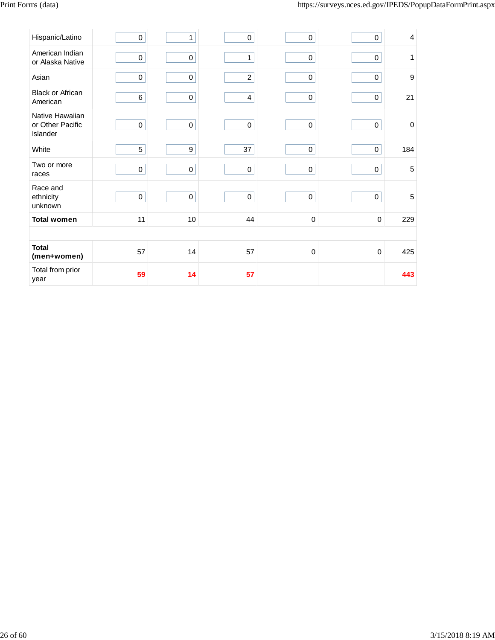| Hispanic/Latino                                 | 0           | 1                | $\mathbf 0$             | $\pmb{0}$   | $\pmb{0}$           | 4              |
|-------------------------------------------------|-------------|------------------|-------------------------|-------------|---------------------|----------------|
| American Indian<br>or Alaska Native             | $\pmb{0}$   | $\pmb{0}$        | $\mathbf{1}$            | $\pmb{0}$   | $\pmb{0}$           | 1              |
| Asian                                           | $\mathsf 0$ | $\pmb{0}$        | $\overline{c}$          | $\mathsf 0$ | $\mathsf 0$         | 9              |
| <b>Black or African</b><br>American             | 6           | $\mathsf 0$      | $\overline{\mathbf{4}}$ | $\pmb{0}$   | $\mathsf 0$         | 21             |
| Native Hawaiian<br>or Other Pacific<br>Islander | $\mathsf 0$ | $\mathsf 0$      | $\mathbf 0$             | $\mathbf 0$ | $\mathsf{O}\xspace$ | $\mathbf 0$    |
| White                                           | 5           | $\boldsymbol{9}$ | 37                      | $\mathbf 0$ | $\pmb{0}$           | 184            |
| Two or more<br>races                            | $\mathbf 0$ | $\pmb{0}$        | $\mathbf 0$             | $\mathbf 0$ | $\pmb{0}$           | $\overline{5}$ |
| Race and<br>ethnicity<br>unknown                | $\pmb{0}$   | $\pmb{0}$        | $\mathbf 0$             | $\mathbf 0$ | $\mathsf{O}\xspace$ | $\overline{5}$ |
| <b>Total women</b>                              | 11          | 10               | 44                      | $\pmb{0}$   | $\mathbf 0$         | 229            |
|                                                 |             |                  |                         |             |                     |                |
| <b>Total</b><br>(men+women)                     | 57          | 14               | 57                      | $\mathbf 0$ | 0                   | 425            |
| Total from prior<br>year                        | 59          | 14               | 57                      |             |                     | 443            |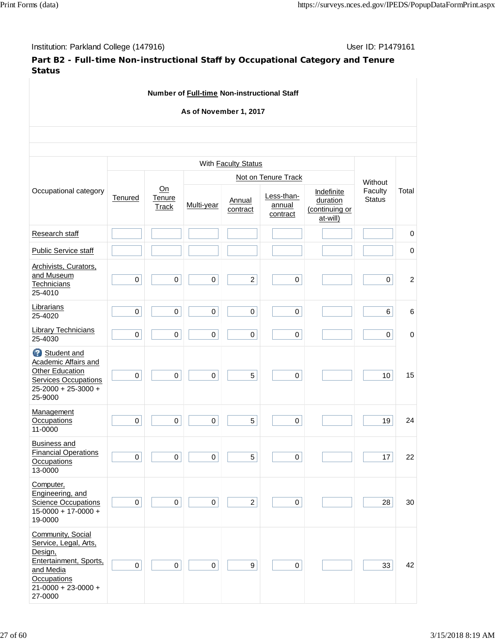Institution: Parkland College (147916) November 2012 12: P1479161

**Part B2 - Full-time Non-instructional Staff by Occupational Category and Tenure Status**

**Number of Full-time Non-instructional Staff As of November 1, 2017** Occupational category With **Faculty Status Without** Faculty **Status** Total **Tenured** On **Tenure Track Not on Tenure Track** Multi-year Annual contract Less-thanannual contract Indefinite **duration** (continuing or at-will) Research staff **below** in the control of the control of the control of the control of the control of the control of the control of the control of the control of the control of the control of the control of the control of t Public Service staff 0 Archivists, Curators, and Museum **Technicians** 25-4010 0 0 0 2 0 0 2 **Librarians** 25-4020 <sup>0</sup> <sup>0</sup> <sup>0</sup> <sup>0</sup> <sup>0</sup> 6 6 Library Technicians 25-4030 <sup>0</sup> <sup>0</sup> <sup>0</sup> <sup>0</sup> <sup>0</sup> 0 0 Student and Academic Affairs and Other Education Services Occupations 25-2000 + 25-3000 + 25-9000 0 0 0 5 0 10 15 **Management Occupations** 11-0000  $0 \begin{vmatrix} 0 & 0 & 0 & 0 \end{vmatrix} \begin{vmatrix} 1 & 0 & 0 & 0 \end{vmatrix} \begin{vmatrix} 1 & 0 & 0 & 0 \end{vmatrix}$ Business and Financial Operations **Occupations** 13-0000  $0 \begin{vmatrix} 0 & 0 & 0 & 0 \end{vmatrix}$   $0 \begin{vmatrix} 1 & 0 & 0 \end{vmatrix}$   $0 \begin{vmatrix} 1 & 0 & 1 \end{vmatrix}$  17 22 Computer, Engineering, and **Science Occupations** 15-0000 + 17-0000 + 19-0000 0 0 0 2 0 28 30 Community, Social Service, Legal, Arts, Design, Entertainment, Sports, and Media **Occupations** 21-0000 + 23-0000 + 27-0000 0 0 0 9 0 33 42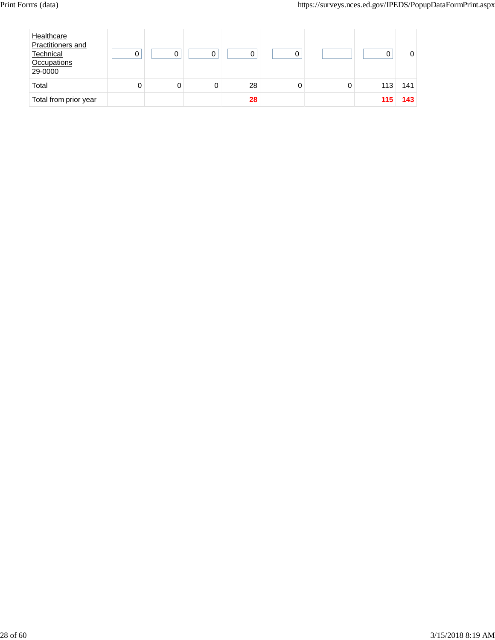| Healthcare<br>Practitioners and<br>Technical<br>Occupations<br>29-0000 |   | ი |    |  |     |     |
|------------------------------------------------------------------------|---|---|----|--|-----|-----|
| Total                                                                  | 0 |   | 28 |  | 113 | 141 |
| Total from prior year                                                  |   |   | 28 |  | 115 | 143 |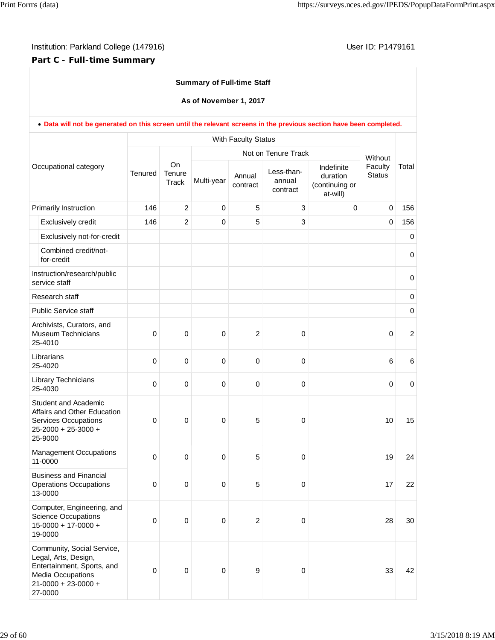## **Part C - Full-time Summary**

## **Summary of Full-time Staff**

**As of November 1, 2017**

|  | . Data will not be generated on this screen until the relevant screens in the previous section have been completed.                           |                  |                              |             |                     |                                                         |                                                      |                                     |                  |
|--|-----------------------------------------------------------------------------------------------------------------------------------------------|------------------|------------------------------|-------------|---------------------|---------------------------------------------------------|------------------------------------------------------|-------------------------------------|------------------|
|  |                                                                                                                                               |                  |                              |             | With Faculty Status |                                                         |                                                      |                                     |                  |
|  | Occupational category                                                                                                                         | <b>Tenured</b>   | <b>On</b><br>Tenure<br>Track | Multi-year  | Annual<br>contract  | Not on Tenure Track<br>Less-than-<br>annual<br>contract | Indefinite<br>duration<br>(continuing or<br>at-will) | Without<br>Faculty<br><b>Status</b> | Total            |
|  | Primarily Instruction                                                                                                                         | 146              | $\overline{c}$               | $\mathbf 0$ | 5                   | 3                                                       | $\mathbf 0$                                          | $\mathbf 0$                         | 156              |
|  | Exclusively credit                                                                                                                            | 146              | $\overline{c}$               | $\Omega$    | 5                   | 3                                                       |                                                      | $\mathbf 0$                         | 156              |
|  | Exclusively not-for-credit                                                                                                                    |                  |                              |             |                     |                                                         |                                                      |                                     | 0                |
|  | Combined credit/not-<br>for-credit                                                                                                            |                  |                              |             |                     |                                                         |                                                      |                                     | $\pmb{0}$        |
|  | Instruction/research/public<br>service staff                                                                                                  |                  |                              |             |                     |                                                         |                                                      |                                     | $\mathbf 0$      |
|  | Research staff                                                                                                                                |                  |                              |             |                     |                                                         |                                                      |                                     | $\pmb{0}$        |
|  | <b>Public Service staff</b>                                                                                                                   |                  |                              |             |                     |                                                         |                                                      |                                     | $\boldsymbol{0}$ |
|  | Archivists, Curators, and<br><b>Museum Technicians</b><br>25-4010                                                                             | $\mathbf 0$      | 0                            | $\mathbf 0$ | $\overline{2}$      | 0                                                       |                                                      | $\mathbf 0$                         | $\overline{c}$   |
|  | Librarians<br>25-4020                                                                                                                         | 0                | 0                            | $\mathbf 0$ | $\mathbf 0$         | 0                                                       |                                                      | 6                                   | 6                |
|  | Library Technicians<br>25-4030                                                                                                                | $\mathbf 0$      | 0                            | $\mathbf 0$ | $\mathbf 0$         | 0                                                       |                                                      | $\mathbf 0$                         | $\mathbf 0$      |
|  | <b>Student and Academic</b><br>Affairs and Other Education<br><b>Services Occupations</b><br>25-2000 + 25-3000 +<br>25-9000                   | 0                | $\mathbf 0$                  | $\mathbf 0$ | 5                   | 0                                                       |                                                      | 10                                  | 15               |
|  | <b>Management Occupations</b><br>11-0000                                                                                                      | $\mathbf 0$      | $\pmb{0}$                    | $\mathbf 0$ | 5                   | 0                                                       |                                                      | 19                                  | 24               |
|  | <b>Business and Financial</b><br><b>Operations Occupations</b><br>13-0000                                                                     | 0                | $\pmb{0}$                    | $\pmb{0}$   | 5                   | 0                                                       |                                                      | 17                                  | 22               |
|  | Computer, Engineering, and<br><b>Science Occupations</b><br>$15-0000 + 17-0000 +$<br>19-0000                                                  | $\boldsymbol{0}$ | $\pmb{0}$                    | $\pmb{0}$   | $\sqrt{2}$          | 0                                                       |                                                      | 28                                  | 30               |
|  | Community, Social Service,<br>Legal, Arts, Design,<br>Entertainment, Sports, and<br>Media Occupations<br>$21 - 0000 + 23 - 0000 +$<br>27-0000 | 0                | $\pmb{0}$                    | $\pmb{0}$   | 9                   | 0                                                       |                                                      | 33                                  | 42               |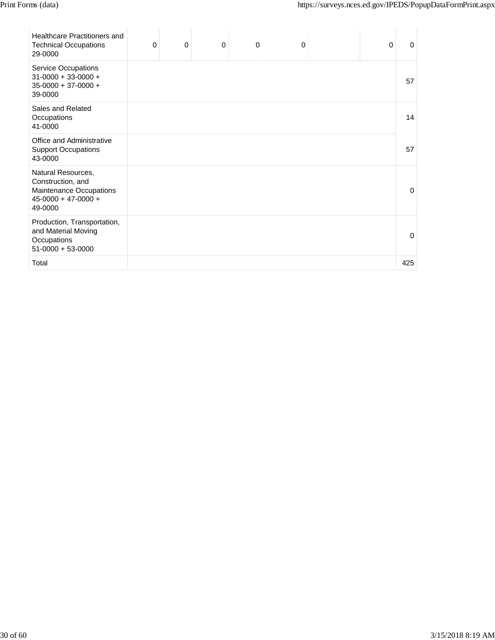| <b>Healthcare Practitioners and</b><br><b>Technical Occupations</b><br>29-0000                         | 0 | $\mathbf 0$ | $\mathbf 0$ | $\mathbf 0$ | $\mathbf 0$ | $\mathbf 0$ | 0   |
|--------------------------------------------------------------------------------------------------------|---|-------------|-------------|-------------|-------------|-------------|-----|
| <b>Service Occupations</b><br>$31-0000 + 33-0000 +$<br>$35-0000 + 37-0000 +$<br>39-0000                |   |             |             |             |             |             | 57  |
| Sales and Related<br>Occupations<br>41-0000                                                            |   |             |             |             |             |             | 14  |
| Office and Administrative<br><b>Support Occupations</b><br>43-0000                                     |   |             |             |             |             |             | 57  |
| Natural Resources,<br>Construction, and<br>Maintenance Occupations<br>$45-0000 + 47-0000 +$<br>49-0000 |   |             |             |             |             |             | O   |
| Production, Transportation,<br>and Material Moving<br>Occupations<br>$51-0000 + 53-0000$               |   |             |             |             |             |             | O   |
| Total                                                                                                  |   |             |             |             |             |             | 425 |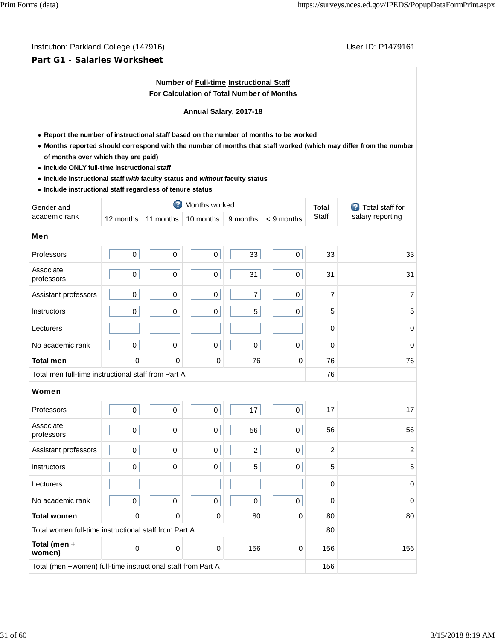## **Part G1 - Salaries Worksheet**

## **Number of Full-time Instructional Staff For Calculation of Total Number of Months**

## **Annual Salary, 2017-18**

- **Report the number of instructional staff based on the number of months to be worked**
- **Months reported should correspond with the number of months that staff worked (which may differ from the number of months over which they are paid)**
- **Include ONLY full-time instructional staff**
- **Include instructional staff** *with* **faculty status and** *without* **faculty status**
- **Include instructional staff regardless of tenure status**

| Gender and                                                   |                     |           | Months worked       |                |                | Total          | <b>2</b> Total staff for |  |
|--------------------------------------------------------------|---------------------|-----------|---------------------|----------------|----------------|----------------|--------------------------|--|
| academic rank                                                | 12 months           | 11 months | 10 months           | 9 months       | < 9 months     | Staff          | salary reporting         |  |
| Men                                                          |                     |           |                     |                |                |                |                          |  |
| Professors                                                   | $\pmb{0}$           | $\pmb{0}$ | $\mathbf 0$         | 33             | $\overline{0}$ | 33             | 33                       |  |
| Associate<br>professors                                      | $\mathsf 0$         | $\pmb{0}$ | $\pmb{0}$           | 31             | $\mathbf 0$    | 31             | 31                       |  |
| Assistant professors                                         | $\pmb{0}$           | $\pmb{0}$ | $\mathbf 0$         | $\overline{7}$ | 0              | $\overline{7}$ | $\overline{7}$           |  |
| Instructors                                                  | $\mathsf 0$         | $\pmb{0}$ | $\pmb{0}$           | 5              | $\overline{0}$ | 5              | 5                        |  |
| Lecturers                                                    |                     |           |                     |                |                | $\mathbf 0$    | $\mathbf 0$              |  |
| No academic rank                                             | $\mathsf 0$         | $\pmb{0}$ | $\pmb{0}$           | $\mathbf 0$    | $\mathbf 0$    | 0              | $\mathbf 0$              |  |
| <b>Total men</b>                                             | $\mathbf 0$         | $\Omega$  | $\mathbf 0$         | 76             | 0              | 76             | 76                       |  |
| Total men full-time instructional staff from Part A          | 76                  |           |                     |                |                |                |                          |  |
| Women                                                        |                     |           |                     |                |                |                |                          |  |
| Professors                                                   | $\pmb{0}$           | $\pmb{0}$ | $\mathsf{O}\xspace$ | 17             | $\overline{0}$ | 17             | 17                       |  |
| Associate<br>professors                                      | $\mathsf{O}\xspace$ | $\pmb{0}$ | $\mathsf{O}\xspace$ | 56             | 0              | 56             | 56                       |  |
| Assistant professors                                         | $\mathsf{O}\xspace$ | $\pmb{0}$ | $\pmb{0}$           | $\overline{2}$ | 0              | $\overline{c}$ | $\overline{c}$           |  |
| Instructors                                                  | $\pmb{0}$           | $\pmb{0}$ | $\pmb{0}$           | 5              | $\mathbf 0$    | 5              | 5                        |  |
| Lecturers                                                    |                     |           |                     |                |                | $\mathbf 0$    | $\mathbf 0$              |  |
| No academic rank                                             | $\mathsf 0$         | $\pmb{0}$ | $\mathbf 0$         | $\mathbf 0$    | 0              | $\Omega$       | $\Omega$                 |  |
| <b>Total women</b>                                           | 0                   | $\Omega$  | 0                   | 80             | 0              | 80             | 80                       |  |
| Total women full-time instructional staff from Part A        |                     |           |                     |                |                | 80             |                          |  |
| Total (men +<br>women)                                       | 0                   | 0         | $\mathbf 0$         | 156            | 0              | 156            | 156                      |  |
| Total (men +women) full-time instructional staff from Part A | 156                 |           |                     |                |                |                |                          |  |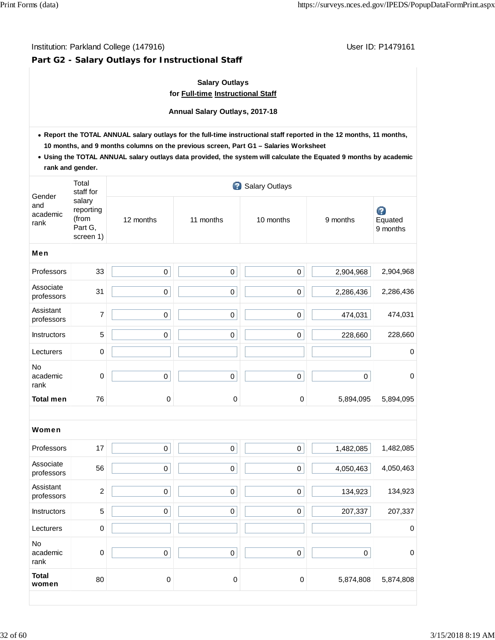## **Part G2 - Salary Outlays for Instructional Staff**

## **Salary Outlays for Full-time Instructional Staff**

**Annual Salary Outlays, 2017-18**

- **Report the TOTAL ANNUAL salary outlays for the full-time instructional staff reported in the 12 months, 11 months, 10 months, and 9 months columns on the previous screen, Part G1 – Salaries Worksheet**
- **Using the TOTAL ANNUAL salary outlays data provided, the system will calculate the Equated 9 months by academic rank and gender.**

|                                   | Total<br>staff for                                   |             |             | Salary Outlays |           |                          |
|-----------------------------------|------------------------------------------------------|-------------|-------------|----------------|-----------|--------------------------|
| Gender<br>and<br>academic<br>rank | salary<br>reporting<br>(from<br>Part G,<br>screen 1) | 12 months   | 11 months   | 10 months      | 9 months  | Ø<br>Equated<br>9 months |
| Men                               |                                                      |             |             |                |           |                          |
| Professors                        | 33                                                   | $\mathbf 0$ | $\pmb{0}$   | $\mathsf 0$    | 2,904,968 | 2,904,968                |
| Associate<br>professors           | 31                                                   | $\mathbf 0$ | $\mathbf 0$ | $\mathsf 0$    | 2,286,436 | 2,286,436                |
| Assistant<br>professors           | 7                                                    | $\pmb{0}$   | $\pmb{0}$   | $\mathsf 0$    | 474,031   | 474,031                  |
| Instructors                       | 5                                                    | $\mathbf 0$ | $\mathbf 0$ | $\mathbf 0$    | 228,660   | 228,660                  |
| Lecturers                         | $\,0\,$                                              |             |             |                |           | $\pmb{0}$                |
| No<br>academic<br>rank            | $\mathbf 0$                                          | $\pmb{0}$   | $\pmb{0}$   | $\pmb{0}$      | $\pmb{0}$ | $\pmb{0}$                |
| <b>Total men</b>                  | 76                                                   | 0           | $\pmb{0}$   | $\mathbf 0$    | 5,894,095 | 5,894,095                |
|                                   |                                                      |             |             |                |           |                          |
| Women                             |                                                      |             |             |                |           |                          |
| Professors                        | 17                                                   | $\mathsf 0$ | $\mathbf 0$ | $\mathsf 0$    | 1,482,085 | 1,482,085                |
| Associate<br>professors           | 56                                                   | $\pmb{0}$   | $\pmb{0}$   | $\pmb{0}$      | 4,050,463 | 4,050,463                |
| Assistant<br>professors           | $\overline{2}$                                       | $\pmb{0}$   | $\mathbf 0$ | $\pmb{0}$      | 134,923   | 134,923                  |
| Instructors                       | 5                                                    | $\pmb{0}$   | $\pmb{0}$   | $\pmb{0}$      | 207,337   | 207,337                  |
| Lecturers                         | $\mathbf 0$                                          |             |             |                |           | $\pmb{0}$                |
| No<br>academic<br>rank            | $\mathbf 0$                                          | $\pmb{0}$   | $\pmb{0}$   | $\mathsf 0$    | $\pmb{0}$ | $\pmb{0}$                |
| <b>Total</b><br>women             | 80                                                   | 0           | $\pmb{0}$   | $\mathbf 0$    | 5,874,808 | 5,874,808                |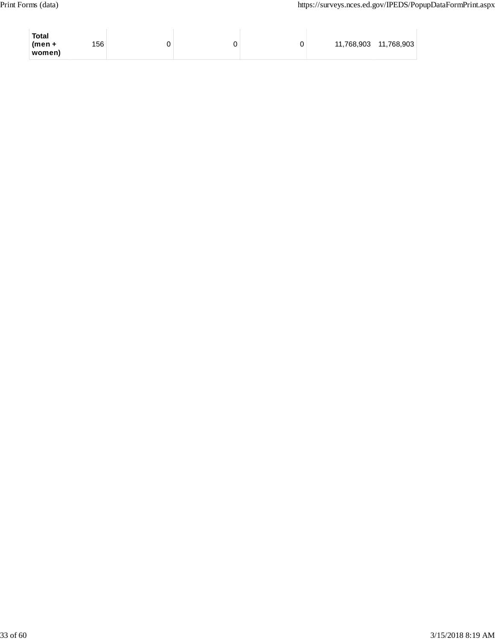| 156<br>11,768,903<br>$(men +$<br>◡<br>women) | <b>Total</b> |  |  |  |  |  | 11,768,903 |  |
|----------------------------------------------|--------------|--|--|--|--|--|------------|--|
|----------------------------------------------|--------------|--|--|--|--|--|------------|--|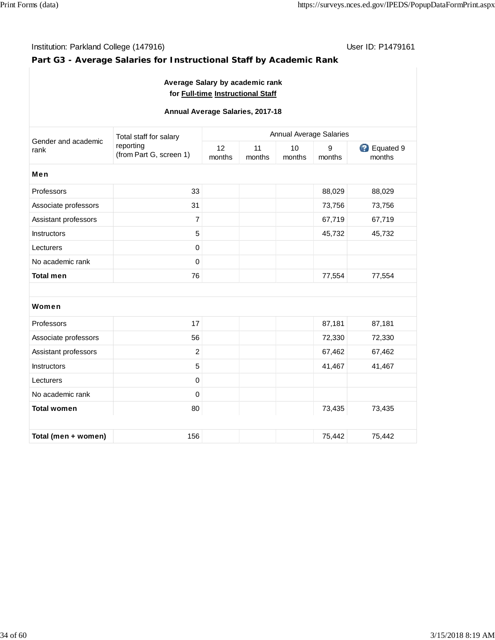## Institution: Parkland College (147916) **Institution: Parkland College (147916**)

# **Part G3 - Average Salaries for Instructional Staff by Academic Rank**

## **Average Salary by academic rank for Full-time Instructional Staff**

## **Annual Average Salaries, 2017-18**

| Gender and academic  | Total staff for salary               |              |              |              | Annual Average Salaries |                              |  |  |  |  |
|----------------------|--------------------------------------|--------------|--------------|--------------|-------------------------|------------------------------|--|--|--|--|
| rank                 | reporting<br>(from Part G, screen 1) | 12<br>months | 11<br>months | 10<br>months | 9<br>months             | <b>B</b> Equated 9<br>months |  |  |  |  |
| <b>Men</b>           |                                      |              |              |              |                         |                              |  |  |  |  |
| Professors           | 33                                   |              |              |              | 88,029                  | 88,029                       |  |  |  |  |
| Associate professors | 31                                   |              |              |              | 73,756                  | 73,756                       |  |  |  |  |
| Assistant professors | $\overline{7}$                       |              |              |              | 67,719                  | 67,719                       |  |  |  |  |
| <b>Instructors</b>   | 5                                    |              |              |              | 45,732                  | 45,732                       |  |  |  |  |
| Lecturers            | $\pmb{0}$                            |              |              |              |                         |                              |  |  |  |  |
| No academic rank     | $\boldsymbol{0}$                     |              |              |              |                         |                              |  |  |  |  |
| <b>Total men</b>     | 76                                   |              |              |              | 77,554                  | 77,554                       |  |  |  |  |
|                      |                                      |              |              |              |                         |                              |  |  |  |  |
| Women                |                                      |              |              |              |                         |                              |  |  |  |  |
| Professors           | 17                                   |              |              |              | 87,181                  | 87,181                       |  |  |  |  |
| Associate professors | 56                                   |              |              |              | 72,330                  | 72,330                       |  |  |  |  |
| Assistant professors | $\overline{c}$                       |              |              |              | 67,462                  | 67,462                       |  |  |  |  |
| Instructors          | $\sqrt{5}$                           |              |              |              | 41,467                  | 41,467                       |  |  |  |  |
| Lecturers            | $\boldsymbol{0}$                     |              |              |              |                         |                              |  |  |  |  |
| No academic rank     | $\mathbf 0$                          |              |              |              |                         |                              |  |  |  |  |
| <b>Total women</b>   | 80                                   |              |              |              | 73,435                  | 73,435                       |  |  |  |  |
|                      |                                      |              |              |              |                         |                              |  |  |  |  |
| Total (men + women)  | 156                                  |              |              |              | 75,442                  | 75,442                       |  |  |  |  |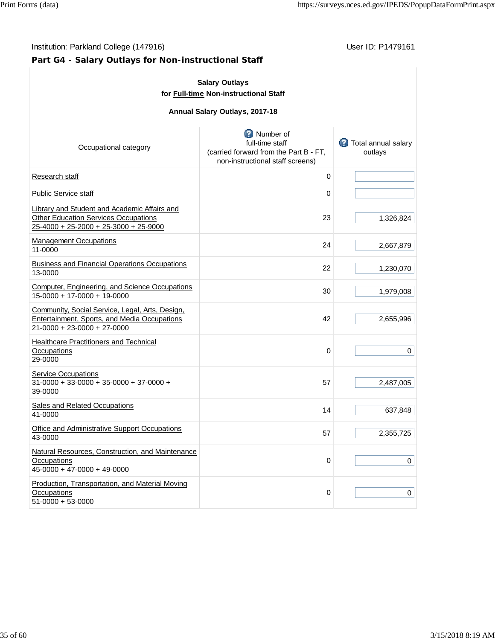# **Part G4 - Salary Outlays for Non-instructional Staff**

| <b>Salary Outlays</b><br>for Full-time Non-instructional Staff                                                                       |                                                                                                            |                                          |  |  |  |  |  |  |  |
|--------------------------------------------------------------------------------------------------------------------------------------|------------------------------------------------------------------------------------------------------------|------------------------------------------|--|--|--|--|--|--|--|
| Annual Salary Outlays, 2017-18                                                                                                       |                                                                                                            |                                          |  |  |  |  |  |  |  |
| Occupational category                                                                                                                | Number of<br>full-time staff<br>(carried forward from the Part B - FT,<br>non-instructional staff screens) | <b>12</b> Total annual salary<br>outlays |  |  |  |  |  |  |  |
| Research staff                                                                                                                       | $\pmb{0}$                                                                                                  |                                          |  |  |  |  |  |  |  |
| <b>Public Service staff</b>                                                                                                          | 0                                                                                                          |                                          |  |  |  |  |  |  |  |
| Library and Student and Academic Affairs and<br><b>Other Education Services Occupations</b><br>25-4000 + 25-2000 + 25-3000 + 25-9000 | 23                                                                                                         | 1,326,824                                |  |  |  |  |  |  |  |
| <b>Management Occupations</b><br>11-0000                                                                                             | 24                                                                                                         | 2,667,879                                |  |  |  |  |  |  |  |
| <b>Business and Financial Operations Occupations</b><br>13-0000                                                                      | 22                                                                                                         | 1,230,070                                |  |  |  |  |  |  |  |
| Computer, Engineering, and Science Occupations<br>15-0000 + 17-0000 + 19-0000                                                        | 30                                                                                                         | 1,979,008                                |  |  |  |  |  |  |  |
| Community, Social Service, Legal, Arts, Design,<br>Entertainment, Sports, and Media Occupations<br>21-0000 + 23-0000 + 27-0000       | 42                                                                                                         | 2,655,996                                |  |  |  |  |  |  |  |
| <b>Healthcare Practitioners and Technical</b><br>Occupations<br>29-0000                                                              | 0                                                                                                          | 0                                        |  |  |  |  |  |  |  |
| <b>Service Occupations</b><br>$31-0000 + 33-0000 + 35-0000 + 37-0000 +$<br>39-0000                                                   | 57                                                                                                         | 2,487,005                                |  |  |  |  |  |  |  |
| Sales and Related Occupations<br>41-0000                                                                                             | 14                                                                                                         | 637,848                                  |  |  |  |  |  |  |  |
| Office and Administrative Support Occupations<br>43-0000                                                                             | 57                                                                                                         | 2,355,725                                |  |  |  |  |  |  |  |
| Natural Resources, Construction, and Maintenance<br>Occupations<br>45-0000 + 47-0000 + 49-0000                                       | 0                                                                                                          | 0                                        |  |  |  |  |  |  |  |
| Production, Transportation, and Material Moving<br>Occupations<br>51-0000 + 53-0000                                                  | 0                                                                                                          | 0                                        |  |  |  |  |  |  |  |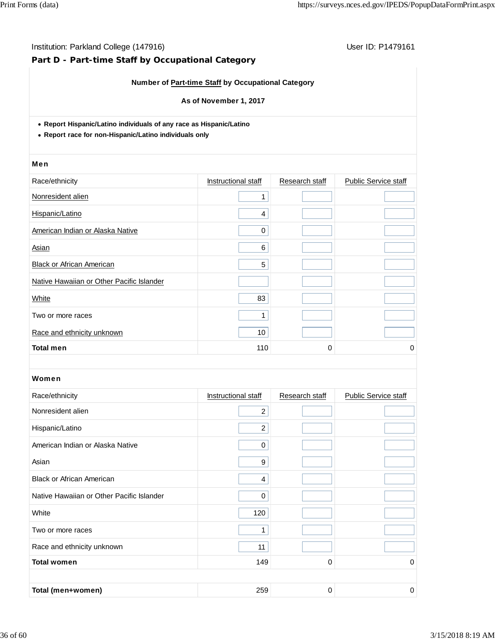# **Part D - Part-time Staff by Occupational Category**

## **Number of Part-time Staff by Occupational Category**

### **As of November 1, 2017**

**Report Hispanic/Latino individuals of any race as Hispanic/Latino**

**Report race for non-Hispanic/Latino individuals only**

#### Men

| Race/ethnicity                            | Instructional staff | Research staff | Public Service staff |
|-------------------------------------------|---------------------|----------------|----------------------|
| Nonresident alien                         |                     |                |                      |
| Hispanic/Latino                           | 4                   |                |                      |
| American Indian or Alaska Native          | $\Omega$            |                |                      |
| Asian                                     | 6                   |                |                      |
| <b>Black or African American</b>          | 5                   |                |                      |
| Native Hawaiian or Other Pacific Islander |                     |                |                      |
| White                                     | 83                  |                |                      |
| Two or more races                         |                     |                |                      |
| Race and ethnicity unknown                | 10                  |                |                      |
| <b>Total men</b>                          | 110                 | 0              | 0                    |

| Race/ethnicity                            | Instructional staff | Research staff | <b>Public Service staff</b> |
|-------------------------------------------|---------------------|----------------|-----------------------------|
| Nonresident alien                         | $\overline{2}$      |                |                             |
| Hispanic/Latino                           | $\overline{c}$      |                |                             |
| American Indian or Alaska Native          | 0                   |                |                             |
| Asian                                     | 9                   |                |                             |
| <b>Black or African American</b>          | 4                   |                |                             |
| Native Hawaiian or Other Pacific Islander | $\Omega$            |                |                             |
| White                                     | 120                 |                |                             |
| Two or more races                         | 4                   |                |                             |
| Race and ethnicity unknown                | 11                  |                |                             |
| <b>Total women</b>                        | 149                 | 0              | 0                           |
|                                           |                     |                |                             |
| Total (men+women)                         | 259                 | 0              | 0                           |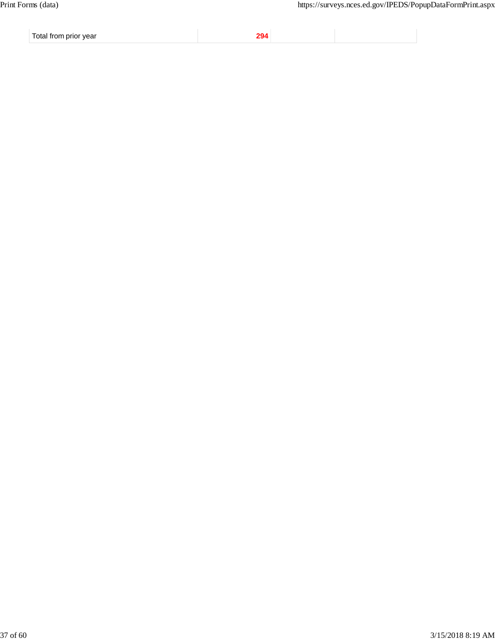Total from prior year **294**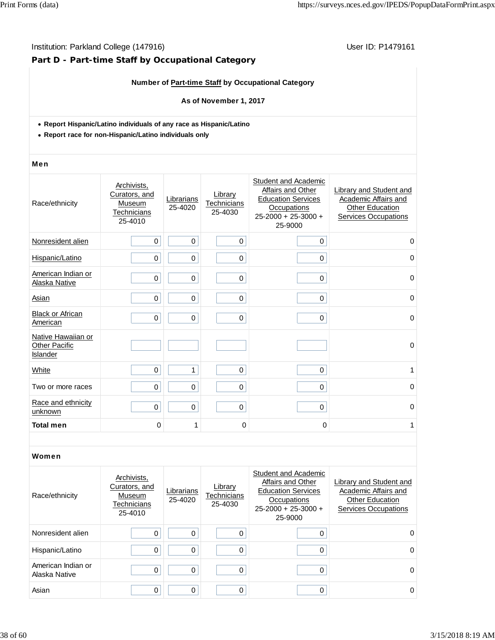# **Part D - Part-time Staff by Occupational Category**

## **Number of Part-time Staff by Occupational Category**

## **As of November 1, 2017**

- **Report Hispanic/Latino individuals of any race as Hispanic/Latino**
- **Report race for non-Hispanic/Latino individuals only**

#### Men

| Race/ethnicity                                         | Archivists,<br>Curators, and<br>Museum<br>Technicians<br>25-4010 | Librarians<br>25-4020 | Library<br>Technicians<br>25-4030 | Student and Academic<br>Affairs and Other<br><b>Education Services</b><br><b>Occupations</b><br>25-2000 + 25-3000 +<br>25-9000 | Library and Student and<br>Academic Affairs and<br><b>Other Education</b><br><b>Services Occupations</b> |
|--------------------------------------------------------|------------------------------------------------------------------|-----------------------|-----------------------------------|--------------------------------------------------------------------------------------------------------------------------------|----------------------------------------------------------------------------------------------------------|
| Nonresident alien                                      | $\mathbf 0$                                                      | 0                     | $\mathbf 0$                       | 0                                                                                                                              | $\mathbf 0$                                                                                              |
| Hispanic/Latino                                        | 0                                                                | 0                     | $\mathbf 0$                       | $\mathbf 0$                                                                                                                    | $\Omega$                                                                                                 |
| American Indian or<br>Alaska Native                    | $\mathbf 0$                                                      | 0                     | 0                                 | $\mathbf 0$                                                                                                                    | $\mathbf 0$                                                                                              |
| Asian                                                  | $\mathbf 0$                                                      | 0                     | $\mathbf 0$                       | $\mathbf 0$                                                                                                                    | 0                                                                                                        |
| <b>Black or African</b><br>American                    | 0                                                                | 0                     | 0                                 | $\mathbf 0$                                                                                                                    | $\Omega$                                                                                                 |
| Native Hawaiian or<br><b>Other Pacific</b><br>Islander |                                                                  |                       |                                   |                                                                                                                                | $\mathbf 0$                                                                                              |
| White                                                  | $\mathbf 0$                                                      | $\mathbf{1}$          | $\mathbf 0$                       | $\mathbf 0$                                                                                                                    | 1                                                                                                        |
| Two or more races                                      | 0                                                                | 0                     | 0                                 | 0                                                                                                                              | $\Omega$                                                                                                 |
| Race and ethnicity<br>unknown                          | $\mathbf 0$                                                      | 0                     | 0                                 | $\mathbf 0$                                                                                                                    | $\mathbf 0$                                                                                              |
| <b>Total men</b>                                       | 0                                                                | 1                     | 0                                 | 0                                                                                                                              | 1                                                                                                        |

| Race/ethnicity                      | Archivists.<br>Curators, and<br>Museum<br>Technicians<br>25-4010 | Librarians<br>25-4020 | Library<br>Technicians<br>25-4030 | Student and Academic<br>Affairs and Other<br><b>Education Services</b><br>Occupations<br>$25-2000 + 25-3000 +$<br>25-9000 | Library and Student and<br>Academic Affairs and<br><b>Other Education</b><br><b>Services Occupations</b> |
|-------------------------------------|------------------------------------------------------------------|-----------------------|-----------------------------------|---------------------------------------------------------------------------------------------------------------------------|----------------------------------------------------------------------------------------------------------|
| Nonresident alien                   | 0                                                                | $\Omega$              | O                                 | 0                                                                                                                         | $\Omega$                                                                                                 |
| Hispanic/Latino                     | 0                                                                | 0                     | 0                                 | 0                                                                                                                         | 0                                                                                                        |
| American Indian or<br>Alaska Native | 0                                                                | 0                     | $\Omega$                          | 0                                                                                                                         | 0                                                                                                        |
| Asian                               | 0                                                                | 0                     |                                   | 0                                                                                                                         | 0                                                                                                        |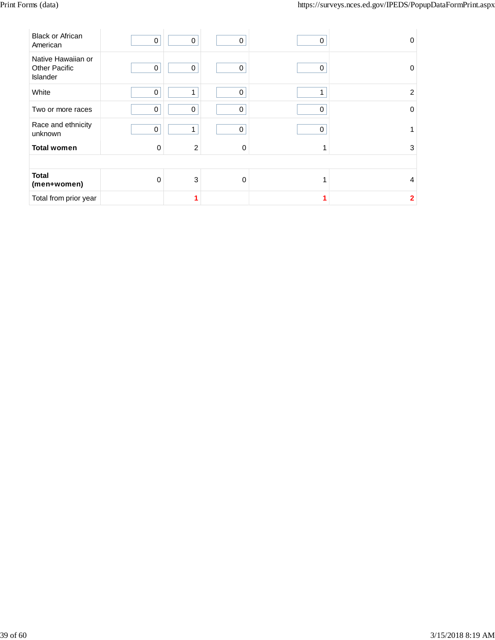| <b>Black or African</b><br>American                           | $\pmb{0}$   | 0              | $\mathbf 0$ | 0 | 0              |
|---------------------------------------------------------------|-------------|----------------|-------------|---|----------------|
| Native Hawaiian or<br><b>Other Pacific</b><br><b>Islander</b> | 0           | 0              | 0           | 0 | 0              |
| White                                                         | $\mathbf 0$ | 1              | $\mathbf 0$ | 1 | $\overline{2}$ |
| Two or more races                                             | $\mathbf 0$ | $\Omega$       | $\Omega$    | 0 | $\Omega$       |
| Race and ethnicity<br>unknown                                 | $\mathbf 0$ | 1              | $\Omega$    | 0 |                |
| <b>Total women</b>                                            | $\Omega$    | $\overline{2}$ | $\Omega$    | 1 | 3              |
|                                                               |             |                |             |   |                |
| <b>Total</b><br>(men+women)                                   | $\Omega$    | $\sqrt{3}$     | $\Omega$    | 1 | 4              |
| Total from prior year                                         |             |                |             |   | $\overline{2}$ |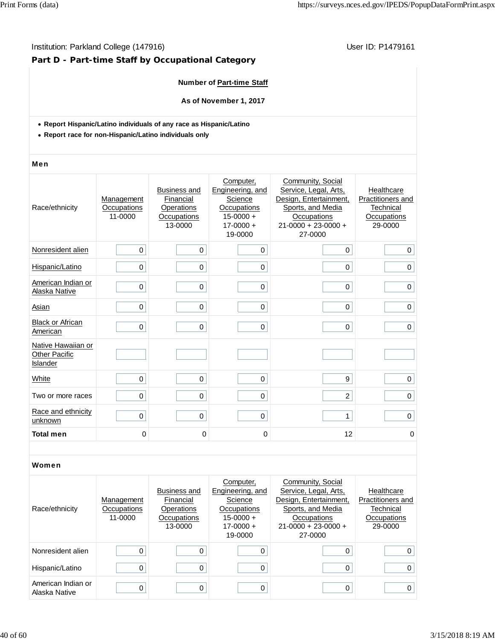## Institution: Parkland College (147916) **Institution: Parkland College (147916**)

# **Part D - Part-time Staff by Occupational Category**

## **Number of Part-time Staff**

**As of November 1, 2017**

- **Report Hispanic/Latino individuals of any race as Hispanic/Latino**
- **Report race for non-Hispanic/Latino individuals only**

#### Men

| Race/ethnicity                                         | Management<br>Occupations<br>11-0000 | <b>Business and</b><br>Financial<br>Operations<br>Occupations<br>13-0000 | Computer,<br>Engineering, and<br>Science<br>Occupations<br>$15 - 0000 +$<br>$17 - 0000 +$<br>19-0000 | Community, Social<br>Service, Legal, Arts,<br>Design, Entertainment,<br>Sports, and Media<br>Occupations<br>$21 - 0000 + 23 - 0000 +$<br>27-0000 | Healthcare<br>Practitioners and<br>Technical<br>Occupations<br>29-0000 |
|--------------------------------------------------------|--------------------------------------|--------------------------------------------------------------------------|------------------------------------------------------------------------------------------------------|--------------------------------------------------------------------------------------------------------------------------------------------------|------------------------------------------------------------------------|
| Nonresident alien                                      | 0                                    | $\mathbf 0$                                                              | 0                                                                                                    | $\mathbf 0$                                                                                                                                      | 0                                                                      |
| Hispanic/Latino                                        | $\mathbf 0$                          | $\mathbf 0$                                                              | 0                                                                                                    | 0                                                                                                                                                | 0                                                                      |
| American Indian or<br>Alaska Native                    | $\mathbf 0$                          | $\mathbf 0$                                                              | 0                                                                                                    | 0                                                                                                                                                | $\mathbf 0$                                                            |
| Asian                                                  | $\mathbf 0$                          | $\mathbf 0$                                                              | 0                                                                                                    | 0                                                                                                                                                | 0                                                                      |
| <b>Black or African</b><br>American                    | $\mathbf 0$                          | $\mathbf 0$                                                              | $\Omega$                                                                                             | 0                                                                                                                                                | $\mathbf 0$                                                            |
| Native Hawaiian or<br><b>Other Pacific</b><br>Islander |                                      |                                                                          |                                                                                                      |                                                                                                                                                  |                                                                        |
| White                                                  | 0                                    | $\mathbf 0$                                                              | 0                                                                                                    | 9                                                                                                                                                | 0                                                                      |
| Two or more races                                      | $\mathbf 0$                          | $\pmb{0}$                                                                | 0                                                                                                    | $\overline{2}$                                                                                                                                   | 0                                                                      |
| Race and ethnicity<br>unknown                          | $\mathbf 0$                          | $\mathbf 0$                                                              | 0                                                                                                    | $\mathbf{1}$                                                                                                                                     | $\mathbf 0$                                                            |
| <b>Total men</b>                                       | 0                                    | 0                                                                        | 0                                                                                                    | 12                                                                                                                                               | 0                                                                      |

| Race/ethnicity                      | Management<br>Occupations<br>11-0000 | Business and<br>Financial<br>Operations<br>Occupations | Computer,<br>Engineering, and<br>Science<br>Occupations<br>$15-0000 +$ | Community, Social<br>Service, Legal, Arts,<br>Design, Entertainment,<br>Sports, and Media<br>Occupations | Healthcare<br><b>Practitioners and</b><br>Technical<br>Occupations |
|-------------------------------------|--------------------------------------|--------------------------------------------------------|------------------------------------------------------------------------|----------------------------------------------------------------------------------------------------------|--------------------------------------------------------------------|
|                                     |                                      | 13-0000                                                | $17-0000 +$<br>19-0000                                                 | $21-0000 + 23-0000 +$<br>27-0000                                                                         | 29-0000                                                            |
| Nonresident alien                   |                                      |                                                        |                                                                        | 0                                                                                                        | $\Omega$                                                           |
| Hispanic/Latino                     |                                      |                                                        |                                                                        | 0                                                                                                        | 0                                                                  |
| American Indian or<br>Alaska Native |                                      |                                                        |                                                                        | 0                                                                                                        | 0                                                                  |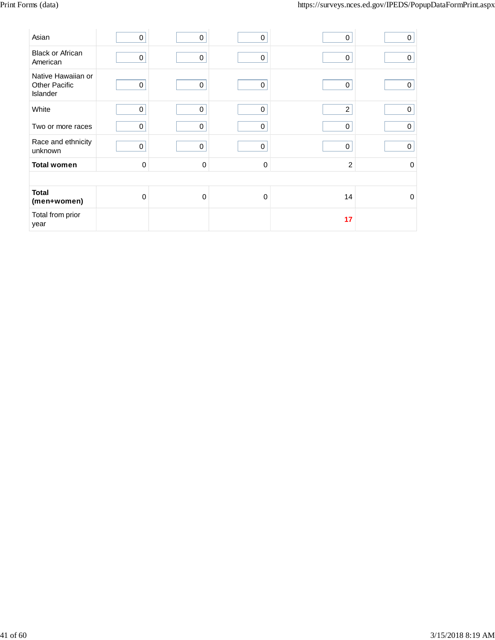| Asian                                                  | 0           | 0 | $\Omega$    | 0              | 0           |
|--------------------------------------------------------|-------------|---|-------------|----------------|-------------|
| <b>Black or African</b><br>American                    | 0           | 0 | 0           | 0              | 0           |
| Native Hawaiian or<br><b>Other Pacific</b><br>Islander | 0           | 0 | $\mathbf 0$ | 0              | $\Omega$    |
| White                                                  | 0           | 0 | $\mathbf 0$ | $\overline{2}$ | 0           |
| Two or more races                                      | 0           | 0 | 0           | 0              | 0           |
| Race and ethnicity<br>unknown                          | 0           | 0 | 0           | 0              | 0           |
| <b>Total women</b>                                     | $\mathbf 0$ | 0 | $\Omega$    | $\overline{c}$ | 0           |
|                                                        |             |   |             |                |             |
| <b>Total</b><br>(men+women)                            | $\mathbf 0$ | 0 | $\Omega$    | 14             | $\mathbf 0$ |
| Total from prior<br>year                               |             |   |             | 17             |             |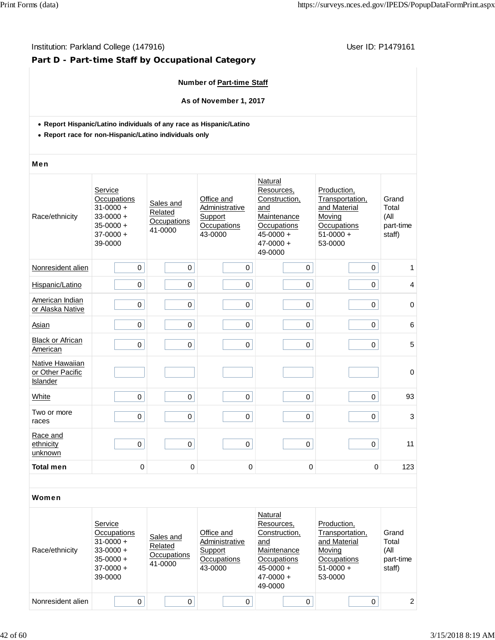## Institution: Parkland College (147916) **Institution: Parkland College (147916**)

# **Part D - Part-time Staff by Occupational Category**

## **Number of Part-time Staff**

**As of November 1, 2017**

- **Report Hispanic/Latino individuals of any race as Hispanic/Latino**
- **Report race for non-Hispanic/Latino individuals only**

#### Men

| Race/ethnicity                                  | Service<br>Occupations<br>$31 - 0000 +$<br>$33 - 0000 +$<br>$35 - 0000 +$<br>$37-0000 +$<br>39-0000 | Sales and<br>Related<br>Occupations<br>41-0000 | Natural<br>Resources,<br>Office and<br>Construction,<br>Administrative<br>and<br>Support<br>Maintenance<br>Occupations<br>Occupations<br>43-0000<br>$45 - 0000 +$<br>$47 - 0000 +$<br>49-0000 |             | Production,<br>Transportation,<br>and Material<br>Moving<br>Occupations<br>$51-0000 +$<br>53-0000 | Grand<br>Total<br>(All<br>part-time<br>staff) |
|-------------------------------------------------|-----------------------------------------------------------------------------------------------------|------------------------------------------------|-----------------------------------------------------------------------------------------------------------------------------------------------------------------------------------------------|-------------|---------------------------------------------------------------------------------------------------|-----------------------------------------------|
| Nonresident alien                               | $\Omega$                                                                                            | $\mathbf 0$                                    | $\mathbf 0$                                                                                                                                                                                   | $\mathbf 0$ | $\mathbf 0$                                                                                       | 1                                             |
| Hispanic/Latino                                 | 0                                                                                                   | 0                                              | $\pmb{0}$                                                                                                                                                                                     | 0           | 0                                                                                                 | $\overline{\mathbf{4}}$                       |
| American Indian<br>or Alaska Native             | $\mathbf 0$                                                                                         | 0                                              | $\mathsf 0$                                                                                                                                                                                   | $\mathsf 0$ | $\mathsf 0$                                                                                       | 0                                             |
| Asian                                           | $\pmb{0}$                                                                                           | $\mathbf 0$                                    | $\pmb{0}$                                                                                                                                                                                     | $\pmb{0}$   | $\mathsf 0$                                                                                       | $6\phantom{1}6$                               |
| <b>Black or African</b><br>American             | 0                                                                                                   | 0                                              | $\pmb{0}$                                                                                                                                                                                     | $\mathsf 0$ | $\pmb{0}$                                                                                         | 5                                             |
| Native Hawaiian<br>or Other Pacific<br>Islander |                                                                                                     |                                                |                                                                                                                                                                                               |             |                                                                                                   | $\mathbf 0$                                   |
| White                                           | $\Omega$                                                                                            | 0                                              | $\mathbf 0$                                                                                                                                                                                   | 0           | 0                                                                                                 | 93                                            |
| Two or more<br>races                            | $\mathbf 0$                                                                                         | 0                                              | $\mathbf 0$                                                                                                                                                                                   | 0           | $\mathbf 0$                                                                                       | 3                                             |
| Race and<br>ethnicity<br>unknown                | $\pmb{0}$                                                                                           | $\mathsf 0$                                    | $\pmb{0}$                                                                                                                                                                                     | 0           | 0                                                                                                 | 11                                            |
| <b>Total men</b>                                | 0                                                                                                   | $\mathbf 0$                                    | $\pmb{0}$                                                                                                                                                                                     | 0           | 0                                                                                                 | 123                                           |
|                                                 |                                                                                                     |                                                |                                                                                                                                                                                               |             |                                                                                                   |                                               |

| Race/ethnicity    | Service<br>Occupations<br>$31 - 0000 +$<br>$33-0000 +$<br>$35-0000 +$<br>$37-0000 +$<br>39-0000 | Sales and<br>Related<br>Occupations<br>41-0000 | Office and<br>Administrative<br>Support<br>Occupations<br>43-0000 | Natural<br>Resources,<br>Construction,<br>and<br>Maintenance<br>Occupations<br>$45 - 0000 +$<br>$47 - 0000 +$<br>49-0000 | Production,<br>Transportation,<br>and Material<br>Moving<br>Occupations<br>$51-0000 +$<br>53-0000 | Grand<br>Total<br>(All<br>part-time<br>staff) |
|-------------------|-------------------------------------------------------------------------------------------------|------------------------------------------------|-------------------------------------------------------------------|--------------------------------------------------------------------------------------------------------------------------|---------------------------------------------------------------------------------------------------|-----------------------------------------------|
| Nonresident alien | $\Omega$                                                                                        | 0                                              | 0                                                                 | 0                                                                                                                        |                                                                                                   | 2                                             |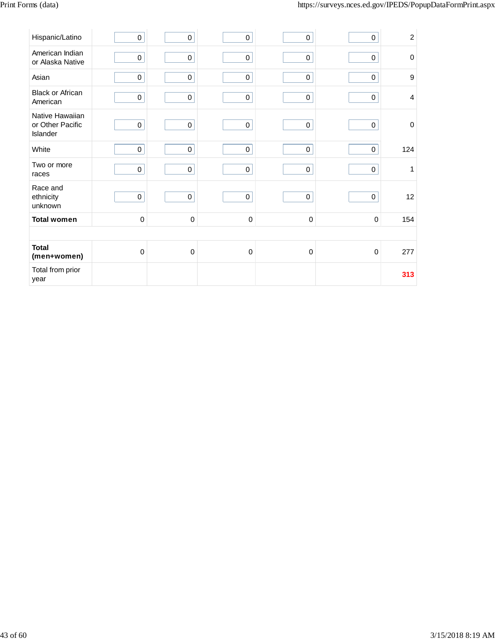| Hispanic/Latino                                 | $\pmb{0}$   | $\pmb{0}$   | $\pmb{0}$   | $\mathbf 0$ | $\pmb{0}$   | $\overline{c}$ |
|-------------------------------------------------|-------------|-------------|-------------|-------------|-------------|----------------|
| American Indian<br>or Alaska Native             | $\pmb{0}$   | $\pmb{0}$   | $\pmb{0}$   | $\mathbf 0$ | $\pmb{0}$   | $\mathbf 0$    |
| Asian                                           | $\pmb{0}$   | $\pmb{0}$   | $\mathsf 0$ | $\mathsf 0$ | $\mathsf 0$ | 9              |
| <b>Black or African</b><br>American             | $\pmb{0}$   | $\pmb{0}$   | $\mathsf 0$ | $\mathbf 0$ | $\mathbf 0$ | 4              |
| Native Hawaiian<br>or Other Pacific<br>Islander | $\pmb{0}$   | $\pmb{0}$   | $\pmb{0}$   | $\pmb{0}$   | $\pmb{0}$   | $\mathbf 0$    |
| White                                           | $\pmb{0}$   | $\mathbf 0$ | $\mathbf 0$ | $\pmb{0}$   | $\mathsf 0$ | 124            |
| Two or more<br>races                            | $\pmb{0}$   | $\pmb{0}$   | $\pmb{0}$   | $\mathbf 0$ | $\pmb{0}$   | 1              |
| Race and<br>ethnicity<br>unknown                | $\mathsf 0$ | $\mathbf 0$ | $\mathbf 0$ | $\pmb{0}$   | $\pmb{0}$   | 12             |
| <b>Total women</b>                              | $\pmb{0}$   | $\pmb{0}$   | $\pmb{0}$   | $\pmb{0}$   | $\pmb{0}$   | 154            |
|                                                 |             |             |             |             |             |                |
| <b>Total</b><br>(men+women)                     | $\mathbf 0$ | $\pmb{0}$   | $\pmb{0}$   | $\mathbf 0$ | $\mathbf 0$ | 277            |
| Total from prior<br>year                        |             |             |             |             |             | 313            |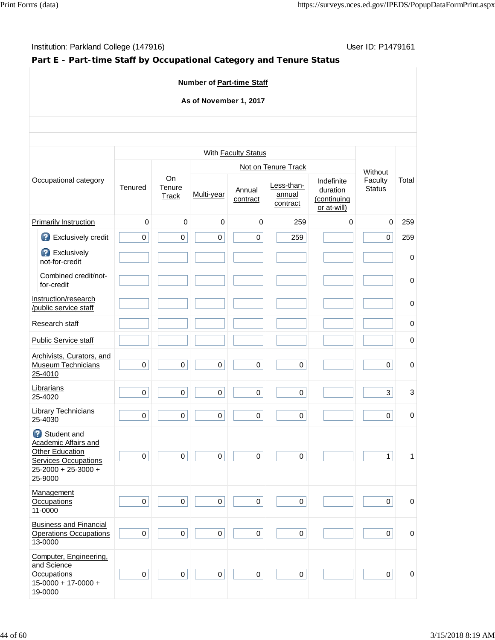# **Part E - Part-time Staff by Occupational Category and Tenure Status**

## **Number of Part-time Staff**

## **As of November 1, 2017**

|                                                                                                                                |                     |                              |                     | With Faculty Status |                                  |                                                      |                          |             |
|--------------------------------------------------------------------------------------------------------------------------------|---------------------|------------------------------|---------------------|---------------------|----------------------------------|------------------------------------------------------|--------------------------|-------------|
|                                                                                                                                |                     |                              |                     |                     | Not on Tenure Track              |                                                      | Without                  |             |
| Occupational category                                                                                                          | Tenured             | On<br>Tenure<br><b>Track</b> | Multi-year          | Annual<br>contract  | Less-than-<br>annual<br>contract | Indefinite<br>duration<br>(continuing<br>or at-will) | Faculty<br><b>Status</b> | Total       |
| <b>Primarily Instruction</b>                                                                                                   | $\mathbf 0$         | $\mathbf 0$                  | $\mathbf 0$         | $\mathbf 0$         | 259                              | $\mathbf 0$                                          | $\mathbf 0$              | 259         |
| 2<br>Exclusively credit                                                                                                        | $\mathsf 0$         | 0                            | 0                   | 0                   | 259                              |                                                      | $\mathbf 0$              | 259         |
| <b>B</b> Exclusively<br>not-for-credit                                                                                         |                     |                              |                     |                     |                                  |                                                      |                          | $\mathbf 0$ |
| Combined credit/not-<br>for-credit                                                                                             |                     |                              |                     |                     |                                  |                                                      |                          | $\mathbf 0$ |
| Instruction/research<br>/public service staff                                                                                  |                     |                              |                     |                     |                                  |                                                      |                          | $\mathbf 0$ |
| Research staff                                                                                                                 |                     |                              |                     |                     |                                  |                                                      |                          | $\mathbf 0$ |
| <b>Public Service staff</b>                                                                                                    |                     |                              |                     |                     |                                  |                                                      |                          | $\mathbf 0$ |
| Archivists, Curators, and<br><b>Museum Technicians</b><br>25-4010                                                              | $\mathsf 0$         | $\pmb{0}$                    | $\pmb{0}$           | 0                   | $\pmb{0}$                        |                                                      | $\pmb{0}$                | $\mathbf 0$ |
| Librarians<br>25-4020                                                                                                          | $\mathbf 0$         | $\mathbf 0$                  | $\mathbf 0$         | 0                   | $\mathbf 0$                      |                                                      | $\mathbf{3}$             | 3           |
| <b>Library Technicians</b><br>25-4030                                                                                          | 0                   | $\mathsf 0$                  | $\mathbf 0$         | 0                   | 0                                |                                                      | $\pmb{0}$                | $\pmb{0}$   |
| Student and<br>Academic Affairs and<br><b>Other Education</b><br><b>Services Occupations</b><br>25-2000 + 25-3000 +<br>25-9000 | 0                   | $\mathsf{O}\xspace$          | $\mathsf{O}\xspace$ | 0                   | $\pmb{0}$                        |                                                      | $\mathbf{1}$             | 1           |
| Management<br><b>Occupations</b><br>11-0000                                                                                    | 0                   | 0                            | 0                   | 0                   | 0                                |                                                      | 0                        | 0           |
| <b>Business and Financial</b><br><b>Operations Occupations</b><br>13-0000                                                      | $\mathsf{O}\xspace$ | $\overline{0}$               | $\pmb{0}$           | $\boldsymbol{0}$    | $\mathsf{O}\xspace$              |                                                      | $\mathbf 0$              | $\mathbf 0$ |
| Computer, Engineering,<br>and Science<br>Occupations<br>$15 - 0000 + 17 - 0000 +$<br>19-0000                                   | $\mathsf{O}\xspace$ | 0                            | $\mathsf{O}\xspace$ | $\pmb{0}$           | $\mathsf{O}\xspace$              |                                                      | $\mathbf 0$              | $\mathbf 0$ |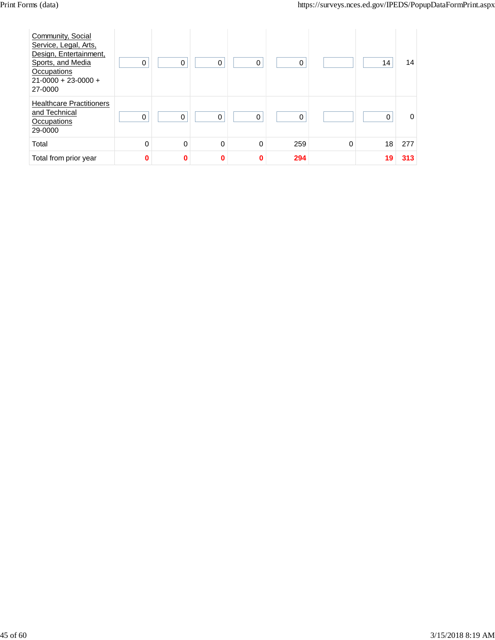| Community, Social<br>Service, Legal, Arts,<br>Design, Entertainment,<br>Sports, and Media<br>Occupations<br>$21-0000 + 23-0000 +$<br>27-0000 | 0 | 0        | 0 | 0        | 0   |          | 14       | 14       |
|----------------------------------------------------------------------------------------------------------------------------------------------|---|----------|---|----------|-----|----------|----------|----------|
| <b>Healthcare Practitioners</b><br>and Technical<br>Occupations<br>29-0000                                                                   | 0 | $\Omega$ | 0 | $\Omega$ | 0   |          | $\Omega$ | $\Omega$ |
| Total                                                                                                                                        | 0 | 0        | 0 | 0        | 259 | $\Omega$ | 18       | 277      |
| Total from prior year                                                                                                                        | 0 | 0        | U | $\bf{0}$ | 294 |          | 19       | 313      |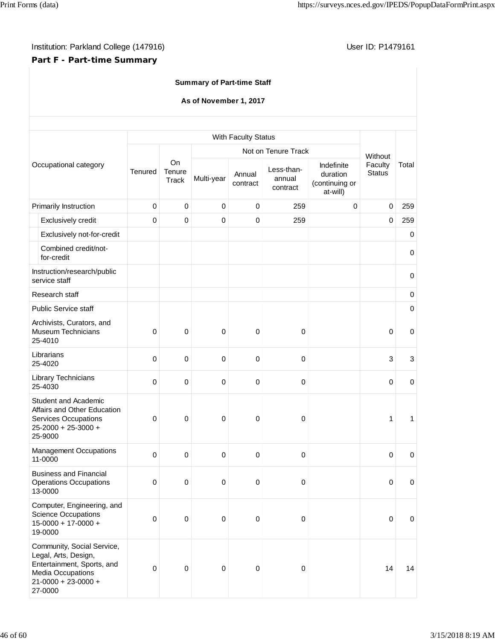## **Part F - Part-time Summary**

## **Summary of Part-time Staff**

## **As of November 1, 2017**

|                                              |                                                                                                                                               |             |                       |             | With Faculty Status |                                  |                                                      |                          |                  |
|----------------------------------------------|-----------------------------------------------------------------------------------------------------------------------------------------------|-------------|-----------------------|-------------|---------------------|----------------------------------|------------------------------------------------------|--------------------------|------------------|
|                                              |                                                                                                                                               |             |                       |             |                     | Not on Tenure Track              |                                                      | Without                  |                  |
|                                              | Occupational category                                                                                                                         | Tenured     | On<br>Tenure<br>Track | Multi-year  | Annual<br>contract  | Less-than-<br>annual<br>contract | Indefinite<br>duration<br>(continuing or<br>at-will) | Faculty<br><b>Status</b> | Total            |
|                                              | Primarily Instruction                                                                                                                         | $\mathsf 0$ | $\mathbf 0$           | $\mathbf 0$ | $\pmb{0}$           | 259                              | $\mathbf 0$                                          | $\mathbf 0$              | 259              |
|                                              | Exclusively credit                                                                                                                            | 0           | $\mathbf 0$           | $\mathbf 0$ | $\mathbf 0$         | 259                              |                                                      | $\mathbf 0$              | 259              |
|                                              | Exclusively not-for-credit                                                                                                                    |             |                       |             |                     |                                  |                                                      |                          | $\mathbf 0$      |
|                                              | Combined credit/not-<br>for-credit                                                                                                            |             |                       |             |                     |                                  |                                                      |                          | $\mathbf 0$      |
| Instruction/research/public<br>service staff |                                                                                                                                               |             |                       |             |                     |                                  |                                                      |                          | $\mathbf 0$      |
|                                              | Research staff                                                                                                                                |             |                       |             |                     |                                  |                                                      |                          | $\pmb{0}$        |
|                                              | <b>Public Service staff</b>                                                                                                                   |             |                       |             |                     |                                  |                                                      |                          | 0                |
|                                              | Archivists, Curators, and<br><b>Museum Technicians</b><br>25-4010                                                                             | 0           | $\mathbf 0$           | $\mathbf 0$ | $\pmb{0}$           | 0                                |                                                      | 0                        | $\boldsymbol{0}$ |
|                                              | Librarians<br>25-4020                                                                                                                         | 0           | $\mathbf 0$           | $\mathbf 0$ | 0                   | 0                                |                                                      | 3                        | $\mathbf{3}$     |
|                                              | Library Technicians<br>25-4030                                                                                                                | 0           | $\pmb{0}$             | $\mathbf 0$ | $\pmb{0}$           | 0                                |                                                      | $\mathbf 0$              | $\mathbf 0$      |
|                                              | <b>Student and Academic</b><br>Affairs and Other Education<br><b>Services Occupations</b><br>25-2000 + 25-3000 +<br>25-9000                   | 0           | 0                     | $\mathbf 0$ | 0                   | 0                                |                                                      | $\mathbf{1}$             | 1                |
|                                              | <b>Management Occupations</b><br>11-0000                                                                                                      | 0           | $\pmb{0}$             | $\mathbf 0$ | $\pmb{0}$           | $\mathbf 0$                      |                                                      | $\mathbf 0$              | $\pmb{0}$        |
|                                              | <b>Business and Financial</b><br><b>Operations Occupations</b><br>13-0000                                                                     | 0           | 0                     | $\mathbf 0$ | 0                   | 0                                |                                                      | 0                        | $\mathbf{0}$     |
|                                              | Computer, Engineering, and<br><b>Science Occupations</b><br>$15-0000 + 17-0000 +$<br>19-0000                                                  | 0           | $\mathbf 0$           | $\pmb{0}$   | $\pmb{0}$           | $\mathbf 0$                      |                                                      | $\pmb{0}$                | $\mathbf 0$      |
|                                              | Community, Social Service,<br>Legal, Arts, Design,<br>Entertainment, Sports, and<br>Media Occupations<br>$21 - 0000 + 23 - 0000 +$<br>27-0000 | 0           | $\mathbf 0$           | $\pmb{0}$   | $\mathbf 0$         | 0                                |                                                      | 14                       | 14               |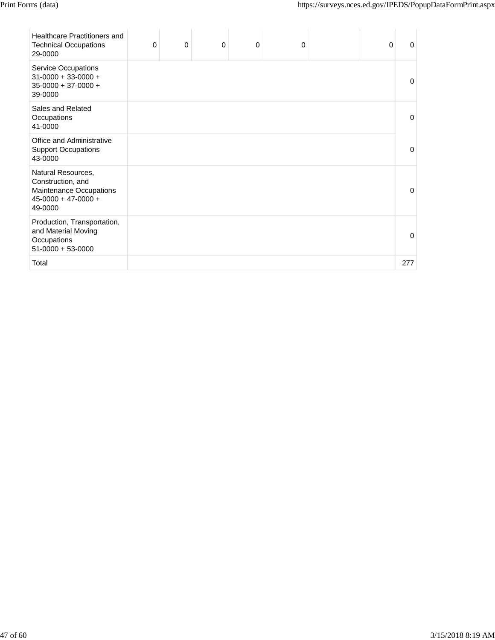| <b>Healthcare Practitioners and</b><br><b>Technical Occupations</b><br>29-0000                         | 0 | 0 | 0 | $\mathbf 0$ | 0 | 0 | O   |
|--------------------------------------------------------------------------------------------------------|---|---|---|-------------|---|---|-----|
| Service Occupations<br>$31-0000 + 33-0000 +$<br>$35-0000 + 37-0000 +$<br>39-0000                       |   |   |   |             |   |   | 0   |
| Sales and Related<br>Occupations<br>41-0000                                                            |   |   |   |             |   |   | 0   |
| Office and Administrative<br><b>Support Occupations</b><br>43-0000                                     |   |   |   |             |   |   | O   |
| Natural Resources,<br>Construction, and<br>Maintenance Occupations<br>$45-0000 + 47-0000 +$<br>49-0000 |   |   |   |             |   |   | O   |
| Production, Transportation,<br>and Material Moving<br>Occupations<br>$51-0000 + 53-0000$               |   |   |   |             |   |   | O   |
| Total                                                                                                  |   |   |   |             |   |   | 277 |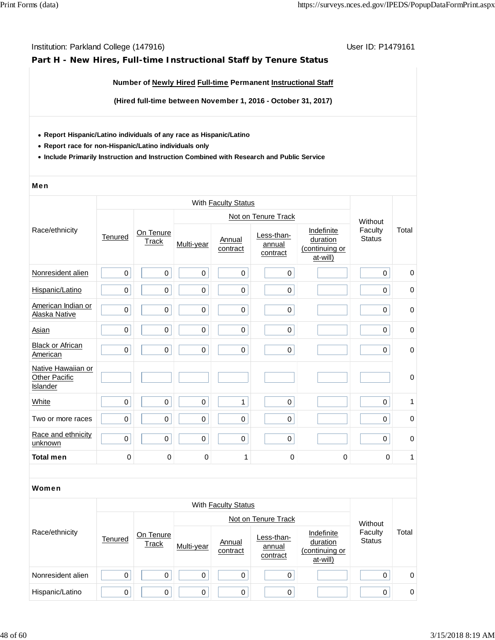## **Part H - New Hires, Full-time Instructional Staff by Tenure Status**

## **Number of Newly Hired Full-time Permanent Instructional Staff**

**(Hired full-time between November 1, 2016 - October 31, 2017)**

- **Report Hispanic/Latino individuals of any race as Hispanic/Latino**
- **Report race for non-Hispanic/Latino individuals only**
- **Include Primarily Instruction and Instruction Combined with Research and Public Service**

#### Men

|                                                 |                     |                    |             |                     | Not on Tenure Track              |                                                      | Without                  |             |
|-------------------------------------------------|---------------------|--------------------|-------------|---------------------|----------------------------------|------------------------------------------------------|--------------------------|-------------|
| Race/ethnicity                                  | Tenured             | On Tenure<br>Track | Multi-year  | Annual<br>contract  | Less-than-<br>annual<br>contract | Indefinite<br>duration<br>(continuing or<br>at-will) | Faculty<br><b>Status</b> | Total       |
| Nonresident alien                               | $\mathsf 0$         | $\mathbf 0$        | $\mathbf 0$ | $\pmb{0}$           | $\mathsf 0$                      |                                                      | $\mathbf 0$              | $\mathbf 0$ |
| Hispanic/Latino                                 | $\mathbf 0$         | $\mathsf 0$        | 0           | $\mathbf 0$         | $\mathsf 0$                      |                                                      | $\mathbf 0$              | $\mathbf 0$ |
| American Indian or<br>Alaska Native             | $\mathsf{O}\xspace$ | $\mbox{O}$         | $\pmb{0}$   | $\pmb{0}$           | $\mathbf 0$                      |                                                      | $\mathsf 0$              | 0           |
| <b>Asian</b>                                    | $\mathbf 0$         | $\mathbf 0$        | 0           | 0                   | $\pmb{0}$                        |                                                      | $\pmb{0}$                | 0           |
| <b>Black or African</b><br>American             | $\mathsf 0$         | $\mathbf 0$        | $\mathbf 0$ | $\mathbf 0$         | $\pmb{0}$                        |                                                      | $\pmb{0}$                | $\pmb{0}$   |
| Native Hawaiian or<br>Other Pacific<br>Islander |                     |                    |             |                     |                                  |                                                      |                          | $\mathbf 0$ |
| White                                           | $\mathsf 0$         | $\mbox{O}$         | $\pmb{0}$   | $\mathbf{1}$        | $\mathsf 0$                      |                                                      | $\mathsf 0$              | 1           |
| Two or more races                               | $\mathbf 0$         | $\pmb{0}$          | 0           | $\pmb{0}$           | $\mathsf 0$                      |                                                      | $\mathbf 0$              | $\mathbf 0$ |
| Race and ethnicity<br>unknown                   | $\mathsf 0$         | $\mathbf 0$        | 0           | $\pmb{0}$           | $\mathsf 0$                      |                                                      | $\mathbf 0$              | $\mathbf 0$ |
| <b>Total men</b>                                | $\mathbf 0$         | $\mathbf 0$        | $\pmb{0}$   | 1                   | 0                                | $\mathbf 0$                                          | $\mathbf 0$              | 1           |
|                                                 |                     |                    |             |                     |                                  |                                                      |                          |             |
| Women                                           |                     |                    |             |                     |                                  |                                                      |                          |             |
|                                                 |                     |                    |             | With Faculty Status |                                  |                                                      |                          |             |
|                                                 |                     |                    |             |                     | Not on Tenure Track              |                                                      | Without                  |             |
| $\cdots$                                        |                     |                    |             |                     |                                  |                                                      |                          |             |

|                   |         |                           |            | Not on Tenure Track |                                  | Without                                              |                          |       |
|-------------------|---------|---------------------------|------------|---------------------|----------------------------------|------------------------------------------------------|--------------------------|-------|
| Race/ethnicity    | Tenured | On Tenure<br><b>Track</b> | Multi-year | Annual<br>contract  | Less-than-<br>annual<br>contract | Indefinite<br>duration<br>(continuing or<br>at-will) | Faculty<br><b>Status</b> | Total |
| Nonresident alien | 0       | 0                         |            |                     | 0                                |                                                      | 0                        | 0     |
| Hispanic/Latino   | 0       | $\Omega$                  | 0          |                     | 0                                |                                                      | 0                        | 0     |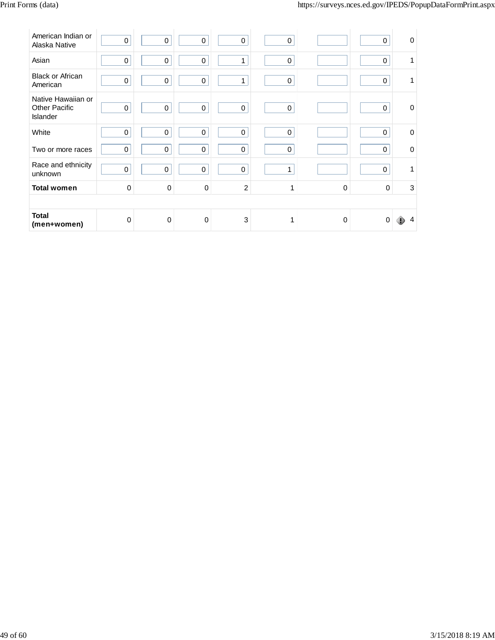| American Indian or<br>Alaska Native                    | $\mathbf 0$ | $\pmb{0}$   | 0           | 0              | $\pmb{0}$ |          | $\pmb{0}$   | $\mathbf 0$ |
|--------------------------------------------------------|-------------|-------------|-------------|----------------|-----------|----------|-------------|-------------|
| Asian                                                  | $\pmb{0}$   | $\pmb{0}$   | 0           | 1              | 0         |          | $\mathbf 0$ | 1           |
| <b>Black or African</b><br>American                    | $\mathbf 0$ | $\pmb{0}$   | 0           | 1              | $\pmb{0}$ |          | $\pmb{0}$   | 1           |
| Native Hawaiian or<br><b>Other Pacific</b><br>Islander | $\pmb{0}$   | $\pmb{0}$   | $\pmb{0}$   | 0              | $\pmb{0}$ |          | $\pmb{0}$   | $\mathbf 0$ |
| White                                                  | $\mathbf 0$ | $\pmb{0}$   | $\mathbf 0$ | 0              | $\pmb{0}$ |          | $\mathbf 0$ | $\Omega$    |
| Two or more races                                      | $\pmb{0}$   | $\pmb{0}$   | $\Omega$    | 0              | 0         |          | $\Omega$    | $\Omega$    |
| Race and ethnicity<br>unknown                          | $\mathbf 0$ | $\mathbf 0$ | 0           | 0              | 1         |          | $\mathbf 0$ | 1           |
| <b>Total women</b>                                     | $\Omega$    | $\mathbf 0$ | 0           | $\overline{c}$ | 1         | 0        | $\Omega$    | $\mathsf 3$ |
|                                                        |             |             |             |                |           |          |             |             |
| <b>Total</b><br>(men+women)                            | $\Omega$    | $\Omega$    | $\mathbf 0$ | 3              | 1         | $\Omega$ | $\Omega$    |             |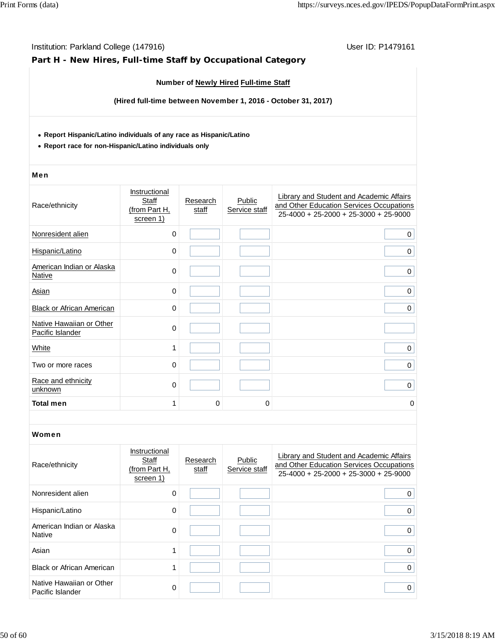|                                                                                                                               | Institution: Parkland College (147916)<br>User ID: P1479161<br>Part H - New Hires, Full-time Staff by Occupational Category |                   |                                       |                                                                                                                                 |  |  |  |  |  |  |
|-------------------------------------------------------------------------------------------------------------------------------|-----------------------------------------------------------------------------------------------------------------------------|-------------------|---------------------------------------|---------------------------------------------------------------------------------------------------------------------------------|--|--|--|--|--|--|
|                                                                                                                               |                                                                                                                             |                   | Number of Newly Hired Full-time Staff |                                                                                                                                 |  |  |  |  |  |  |
|                                                                                                                               |                                                                                                                             |                   |                                       | (Hired full-time between November 1, 2016 - October 31, 2017)                                                                   |  |  |  |  |  |  |
| • Report Hispanic/Latino individuals of any race as Hispanic/Latino<br>• Report race for non-Hispanic/Latino individuals only |                                                                                                                             |                   |                                       |                                                                                                                                 |  |  |  |  |  |  |
| Men                                                                                                                           |                                                                                                                             |                   |                                       |                                                                                                                                 |  |  |  |  |  |  |
| Race/ethnicity                                                                                                                | Instructional<br>Staff<br>(from Part H,<br>screen 1)                                                                        | Research<br>staff | Public<br>Service staff               | Library and Student and Academic Affairs<br>and Other Education Services Occupations<br>$25-4000 + 25-2000 + 25-3000 + 25-9000$ |  |  |  |  |  |  |
| Nonresident alien                                                                                                             | 0                                                                                                                           |                   |                                       | 0                                                                                                                               |  |  |  |  |  |  |
| Hispanic/Latino                                                                                                               | 0                                                                                                                           |                   |                                       | 0                                                                                                                               |  |  |  |  |  |  |
| American Indian or Alaska<br><b>Native</b>                                                                                    | 0                                                                                                                           |                   |                                       | $\mathbf 0$                                                                                                                     |  |  |  |  |  |  |
| <b>Asian</b>                                                                                                                  | $\mathbf 0$                                                                                                                 |                   |                                       | $\pmb{0}$                                                                                                                       |  |  |  |  |  |  |
| Black or African American                                                                                                     | $\mathbf 0$                                                                                                                 |                   |                                       | 0                                                                                                                               |  |  |  |  |  |  |
| Native Hawaiian or Other<br>Pacific Islander                                                                                  | 0                                                                                                                           |                   |                                       |                                                                                                                                 |  |  |  |  |  |  |
| <b>White</b>                                                                                                                  | 1                                                                                                                           |                   |                                       | 0                                                                                                                               |  |  |  |  |  |  |
| Two or more races                                                                                                             | 0                                                                                                                           |                   |                                       | 0                                                                                                                               |  |  |  |  |  |  |
| Race and ethnicity<br>unknown                                                                                                 | 0                                                                                                                           |                   |                                       | 0                                                                                                                               |  |  |  |  |  |  |
| Total men                                                                                                                     | 1                                                                                                                           | 0                 | 0                                     | 0                                                                                                                               |  |  |  |  |  |  |
| Women                                                                                                                         |                                                                                                                             |                   |                                       |                                                                                                                                 |  |  |  |  |  |  |
| Race/ethnicity                                                                                                                | Instructional<br>Staff<br>(from Part H,<br>screen 1)                                                                        | Research<br>staff | Public<br>Service staff               | Library and Student and Academic Affairs<br>and Other Education Services Occupations<br>$25-4000 + 25-2000 + 25-3000 + 25-9000$ |  |  |  |  |  |  |
| Nonresident alien                                                                                                             | 0                                                                                                                           |                   |                                       | 0                                                                                                                               |  |  |  |  |  |  |
| Hispanic/Latino                                                                                                               | 0                                                                                                                           |                   |                                       | 0                                                                                                                               |  |  |  |  |  |  |
| American Indian or Alaska<br><b>Native</b>                                                                                    | 0                                                                                                                           |                   |                                       | $\mathbf 0$                                                                                                                     |  |  |  |  |  |  |
| Asian                                                                                                                         | 1                                                                                                                           |                   |                                       | 0                                                                                                                               |  |  |  |  |  |  |
| <b>Black or African American</b>                                                                                              | 1                                                                                                                           |                   |                                       | $\mathbf 0$                                                                                                                     |  |  |  |  |  |  |
| Native Hawaiian or Other<br>Pacific Islander                                                                                  | 0                                                                                                                           |                   |                                       | $\mathbf 0$                                                                                                                     |  |  |  |  |  |  |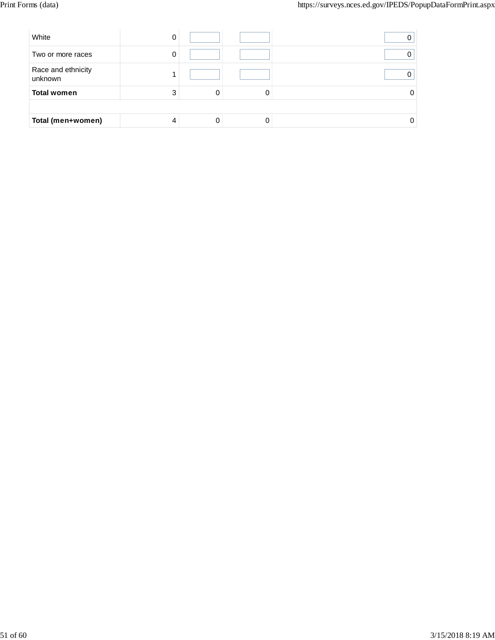| White                         |   |  |  |
|-------------------------------|---|--|--|
| Two or more races             | υ |  |  |
| Race and ethnicity<br>unknown |   |  |  |
| <b>Total women</b>            |   |  |  |
|                               |   |  |  |
| Total (men+women)             |   |  |  |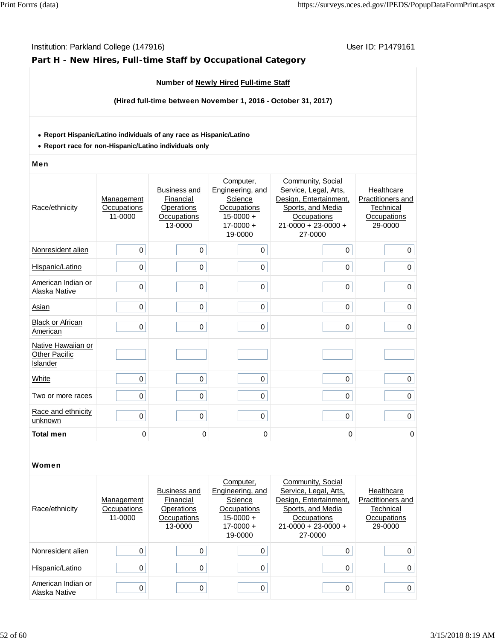## **Part H - New Hires, Full-time Staff by Occupational Category**

## **Number of Newly Hired Full-time Staff**

**(Hired full-time between November 1, 2016 - October 31, 2017)**

#### **Report Hispanic/Latino individuals of any race as Hispanic/Latino**

**Report race for non-Hispanic/Latino individuals only**

#### Men

| Race/ethnicity                                         | Management<br>Occupations<br>11-0000 | <b>Business and</b><br>Financial<br>Operations<br>Occupations<br>13-0000 | Computer,<br>Engineering, and<br>Science<br>Occupations<br>$15 - 0000 +$<br>$17 - 0000 +$<br>19-0000 | Community, Social<br>Service, Legal, Arts,<br>Design, Entertainment,<br>Sports, and Media<br>Occupations<br>$21 - 0000 + 23 - 0000 +$<br>27-0000 | Healthcare<br>Practitioners and<br>Technical<br>Occupations<br>29-0000 |
|--------------------------------------------------------|--------------------------------------|--------------------------------------------------------------------------|------------------------------------------------------------------------------------------------------|--------------------------------------------------------------------------------------------------------------------------------------------------|------------------------------------------------------------------------|
| Nonresident alien                                      | 0                                    | $\mathbf 0$                                                              | 0                                                                                                    | $\mathbf 0$                                                                                                                                      | 0                                                                      |
| Hispanic/Latino                                        | $\mathbf 0$                          | $\mathbf 0$                                                              | 0                                                                                                    | 0                                                                                                                                                | 0                                                                      |
| American Indian or<br>Alaska Native                    | $\mathbf 0$                          | $\mathbf 0$                                                              | 0                                                                                                    | 0                                                                                                                                                | $\mathbf 0$                                                            |
| Asian                                                  | $\Omega$                             | $\mathbf 0$                                                              | 0                                                                                                    | 0                                                                                                                                                | 0                                                                      |
| <b>Black or African</b><br>American                    | $\mathbf 0$                          | $\mathbf 0$                                                              | $\Omega$                                                                                             | 0                                                                                                                                                | $\mathbf 0$                                                            |
| Native Hawaiian or<br><b>Other Pacific</b><br>Islander |                                      |                                                                          |                                                                                                      |                                                                                                                                                  |                                                                        |
| White                                                  | 0                                    | $\mathbf 0$                                                              | 0                                                                                                    | $\mathbf 0$                                                                                                                                      | 0                                                                      |
| Two or more races                                      | $\mathbf 0$                          | $\pmb{0}$                                                                | 0                                                                                                    | 0                                                                                                                                                | 0                                                                      |
| Race and ethnicity<br>unknown                          | $\mathbf 0$                          | $\mathbf 0$                                                              | 0                                                                                                    | 0                                                                                                                                                | $\mathbf 0$                                                            |
| <b>Total men</b>                                       | 0                                    | 0                                                                        | 0                                                                                                    | 0                                                                                                                                                | 0                                                                      |

| Race/ethnicity                      | Management<br>Occupations<br>11-0000 | <b>Business and</b><br>Financial<br>Operations<br>Occupations<br>13-0000 | Computer,<br>Engineering, and<br>Science<br>Occupations<br>$15-0000 +$<br>$17 - 0000 +$<br>19-0000 | Community, Social<br>Service, Legal, Arts,<br>Design, Entertainment,<br>Sports, and Media<br>Occupations<br>$21-0000 + 23-0000 +$<br>27-0000 | Healthcare<br>Practitioners and<br>Technical<br>Occupations<br>29-0000 |
|-------------------------------------|--------------------------------------|--------------------------------------------------------------------------|----------------------------------------------------------------------------------------------------|----------------------------------------------------------------------------------------------------------------------------------------------|------------------------------------------------------------------------|
| Nonresident alien                   |                                      |                                                                          |                                                                                                    | 0                                                                                                                                            | 0                                                                      |
| Hispanic/Latino                     |                                      |                                                                          |                                                                                                    | 0                                                                                                                                            | 0                                                                      |
| American Indian or<br>Alaska Native | 0                                    |                                                                          | 0                                                                                                  | 0                                                                                                                                            | 0                                                                      |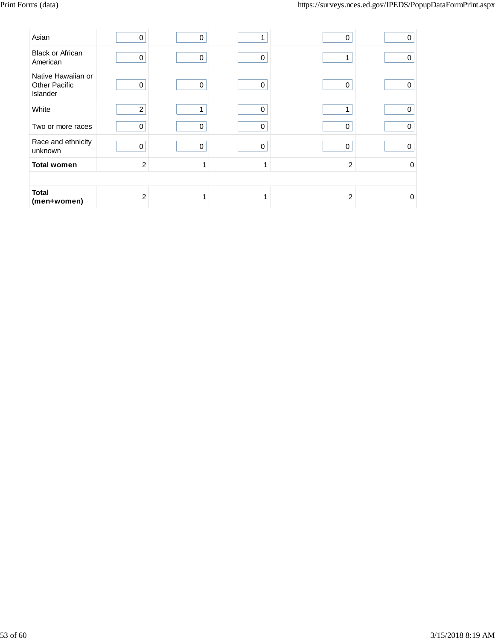| Asian                                                  | 0              | 0 |             | 0              | 0           |
|--------------------------------------------------------|----------------|---|-------------|----------------|-------------|
| <b>Black or African</b><br>American                    | 0              | 0 | $\pmb{0}$   | 1              | 0           |
| Native Hawaiian or<br><b>Other Pacific</b><br>Islander | 0              | 0 | 0           | 0              | 0           |
| White                                                  | $\overline{2}$ |   | 0           |                | 0           |
| Two or more races                                      | 0              | 0 | $\mathbf 0$ | 0              | 0           |
| Race and ethnicity<br>unknown                          | $\mathbf 0$    | 0 | $\mathbf 0$ | 0              | $\mathbf 0$ |
| <b>Total women</b>                                     | $\overline{c}$ |   |             | $\overline{c}$ | 0           |
|                                                        |                |   |             |                |             |
| <b>Total</b><br>(men+women)                            | $\overline{c}$ |   |             | $\overline{2}$ | $\Omega$    |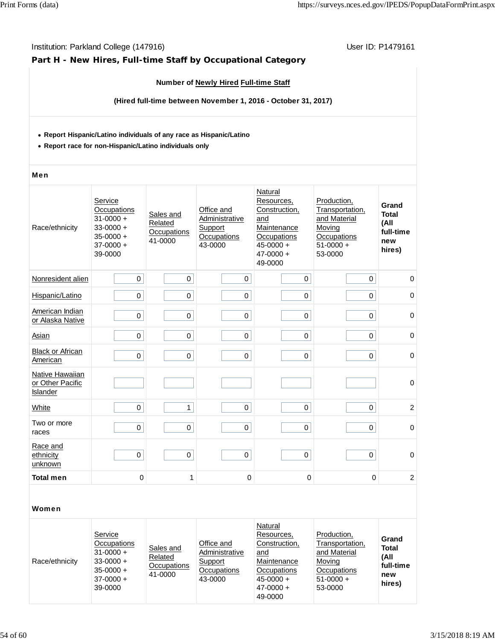## **Part H - New Hires, Full-time Staff by Occupational Category**

## **Number of Newly Hired Full-time Staff**

**(Hired full-time between November 1, 2016 - October 31, 2017)**

#### **Report Hispanic/Latino individuals of any race as Hispanic/Latino**

**Report race for non-Hispanic/Latino individuals only**

#### Men

| Race/ethnicity                                  | Service<br>Occupations<br>$31 - 0000 +$<br>$33 - 0000 +$<br>$35 - 0000 +$<br>$37 - 0000 +$<br>39-0000 | Sales and<br>Related<br>Occupations<br>41-0000 | Office and<br>Administrative<br>Support<br>Occupations<br>43-0000 | Natural<br>Resources,<br>Construction,<br>and<br>Maintenance<br>Occupations<br>$45 - 0000 +$<br>$47 - 0000 +$<br>49-0000 | Production,<br>Transportation,<br>and Material<br>Moving<br>Occupations<br>$51-0000 +$<br>53-0000 | Grand<br><b>Total</b><br>(All<br>full-time<br>new<br>hires) |
|-------------------------------------------------|-------------------------------------------------------------------------------------------------------|------------------------------------------------|-------------------------------------------------------------------|--------------------------------------------------------------------------------------------------------------------------|---------------------------------------------------------------------------------------------------|-------------------------------------------------------------|
| Nonresident alien                               | $\mathbf 0$                                                                                           | 0                                              | 0                                                                 | 0                                                                                                                        | 0                                                                                                 | $\mathbf 0$                                                 |
| Hispanic/Latino                                 | $\mathbf 0$                                                                                           | 0                                              | 0                                                                 | 0                                                                                                                        | 0                                                                                                 | $\mathbf 0$                                                 |
| American Indian<br>or Alaska Native             | $\pmb{0}$                                                                                             | 0                                              | 0                                                                 | $\mathbf 0$                                                                                                              | 0                                                                                                 | $\mathbf 0$                                                 |
| Asian                                           | $\mathbf 0$                                                                                           | 0                                              | 0                                                                 | 0                                                                                                                        | 0                                                                                                 | 0                                                           |
| <b>Black or African</b><br>American             | $\mathbf 0$                                                                                           | 0                                              | 0                                                                 | 0                                                                                                                        | 0                                                                                                 | $\mathbf 0$                                                 |
| Native Hawaiian<br>or Other Pacific<br>Islander |                                                                                                       |                                                |                                                                   |                                                                                                                          |                                                                                                   | $\mathbf 0$                                                 |
| White                                           | $\mathbf 0$                                                                                           | $\mathbf{1}$                                   | 0                                                                 | 0                                                                                                                        | 0                                                                                                 | $\overline{c}$                                              |
| Two or more<br>races                            | $\mathbf 0$                                                                                           | 0                                              | 0                                                                 | 0                                                                                                                        | 0                                                                                                 | $\mathbf 0$                                                 |
| Race and<br>ethnicity<br>unknown                | $\mathbf 0$                                                                                           | 0                                              | 0                                                                 | $\mathsf 0$                                                                                                              | 0                                                                                                 | $\mathbf 0$                                                 |
| <b>Total men</b>                                | $\mathbf 0$                                                                                           | 1                                              | 0                                                                 | 0                                                                                                                        | $\mathbf 0$                                                                                       | $\boldsymbol{2}$                                            |

| Race/ethnicity | Service<br>Occupations<br>$31 - 0000 +$<br>$33 - 0000 +$<br>$35 - 0000 +$<br>$37 - 0000 +$<br>39-0000 | Sales and<br>Related<br>Occupations<br>41-0000 | Office and<br>Administrative<br>Support<br>Occupations<br>43-0000 | Natural<br>Resources.<br>Construction,<br>and<br>Maintenance<br>Occupations<br>$45 - 0000 +$<br>$47 - 0000 +$<br>49-0000 | Production.<br>Transportation,<br>and Material<br>Moving<br>Occupations<br>$51-0000 +$<br>53-0000 | Grand<br><b>Total</b><br>(All<br>full-time<br>new<br>hires) |
|----------------|-------------------------------------------------------------------------------------------------------|------------------------------------------------|-------------------------------------------------------------------|--------------------------------------------------------------------------------------------------------------------------|---------------------------------------------------------------------------------------------------|-------------------------------------------------------------|
|----------------|-------------------------------------------------------------------------------------------------------|------------------------------------------------|-------------------------------------------------------------------|--------------------------------------------------------------------------------------------------------------------------|---------------------------------------------------------------------------------------------------|-------------------------------------------------------------|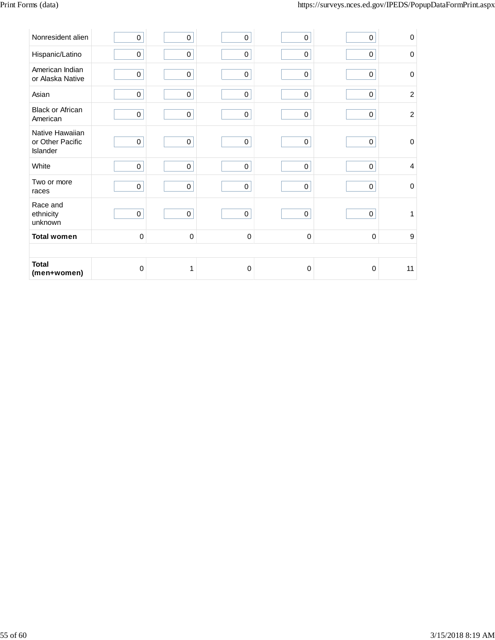| Nonresident alien                               | $\pmb{0}$   | $\pmb{0}$   | $\mathbf 0$ | 0           | 0           | $\mathbf 0$    |
|-------------------------------------------------|-------------|-------------|-------------|-------------|-------------|----------------|
| Hispanic/Latino                                 | 0           | $\pmb{0}$   | $\pmb{0}$   | $\pmb{0}$   | 0           | $\Omega$       |
| American Indian<br>or Alaska Native             | 0           | $\pmb{0}$   | $\pmb{0}$   | $\mathsf 0$ | $\pmb{0}$   | $\mathbf 0$    |
| Asian                                           | $\pmb{0}$   | $\pmb{0}$   | $\pmb{0}$   | $\pmb{0}$   | $\pmb{0}$   | $\overline{2}$ |
| <b>Black or African</b><br>American             | $\pmb{0}$   | $\pmb{0}$   | $\pmb{0}$   | $\pmb{0}$   | $\pmb{0}$   | $\overline{2}$ |
| Native Hawaiian<br>or Other Pacific<br>Islander | $\pmb{0}$   | $\pmb{0}$   | $\pmb{0}$   | $\mathsf 0$ | $\pmb{0}$   | $\mathbf 0$    |
| White                                           | $\pmb{0}$   | $\pmb{0}$   | $\pmb{0}$   | $\mathbf 0$ | 0           | $\overline{4}$ |
| Two or more<br>races                            | $\mathbf 0$ | $\pmb{0}$   | $\pmb{0}$   | $\pmb{0}$   | 0           | $\mathbf 0$    |
| Race and<br>ethnicity<br>unknown                | $\mathbf 0$ | $\pmb{0}$   | $\pmb{0}$   | $\pmb{0}$   | 0           | $\mathbf{1}$   |
| <b>Total women</b>                              | $\pmb{0}$   | $\mathbf 0$ | $\pmb{0}$   | 0           | $\mathbf 0$ | 9              |
|                                                 |             |             |             |             |             |                |
| <b>Total</b><br>(men+women)                     | $\pmb{0}$   | 1           | $\mathbf 0$ | $\mathbf 0$ | $\mathbf 0$ | 11             |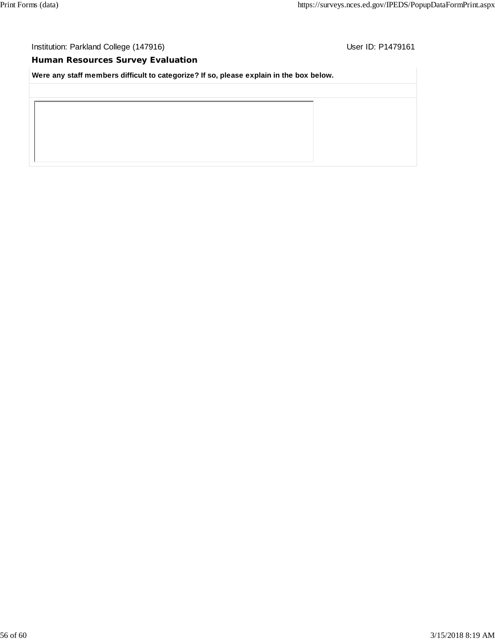## **Human Resources Survey Evaluation**

**Were any staff members difficult to categorize? If so, please explain in the box below.**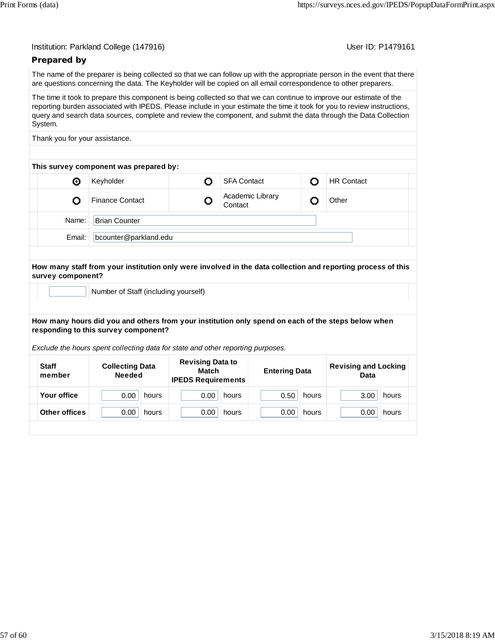User ID: P1479161

## **Prepared by**

The name of the preparer is being collected so that we can follow up with the appropriate person in the event that there are questions concerning the data. The Keyholder will be copied on all email correspondence to other preparers.

The time it took to prepare this component is being collected so that we can continue to improve our estimate of the reporting burden associated with IPEDS. Please include in your estimate the time it took for you to review instructions, query and search data sources, complete and review the component, and submit the data through the Data Collection System.

Thank you for your assistance.

| This survey component was prepared by: |                        |                       |                             |  |                   |  |  |  |
|----------------------------------------|------------------------|-----------------------|-----------------------------|--|-------------------|--|--|--|
| ⊙                                      | Keyholder              |                       | <b>SFA Contact</b>          |  | <b>HR Contact</b> |  |  |  |
|                                        | <b>Finance Contact</b> |                       | Academic Library<br>Contact |  | Other             |  |  |  |
| Name:                                  | <b>Brian Counter</b>   |                       |                             |  |                   |  |  |  |
| Email:                                 |                        | bcounter@parkland.edu |                             |  |                   |  |  |  |
|                                        |                        |                       |                             |  |                   |  |  |  |

#### **How many staff from your institution only were involved in the data collection and reporting process of this survey component?**

Number of Staff (including yourself)

#### **How many hours did you and others from your institution only spend on each of the steps below when responding to this survey component?**

*Exclude the hours spent collecting data for state and other reporting purposes.*

| <b>Staff</b><br>member | <b>Collecting Data</b><br><b>Needed</b> | <b>Revising Data to</b><br>Match<br><b>IPEDS Requirements</b> | <b>Entering Data</b> | <b>Revising and Locking</b><br>Data |
|------------------------|-----------------------------------------|---------------------------------------------------------------|----------------------|-------------------------------------|
| Your office            | 0.00                                    | 0.00                                                          | 0.50                 | 3.00                                |
|                        | hours                                   | hours                                                         | hours                | hours                               |
| <b>Other offices</b>   | 0.00                                    | 0.00                                                          | 0.00                 | 0.00                                |
|                        | hours                                   | hours                                                         | hours                | hours                               |
|                        |                                         |                                                               |                      |                                     |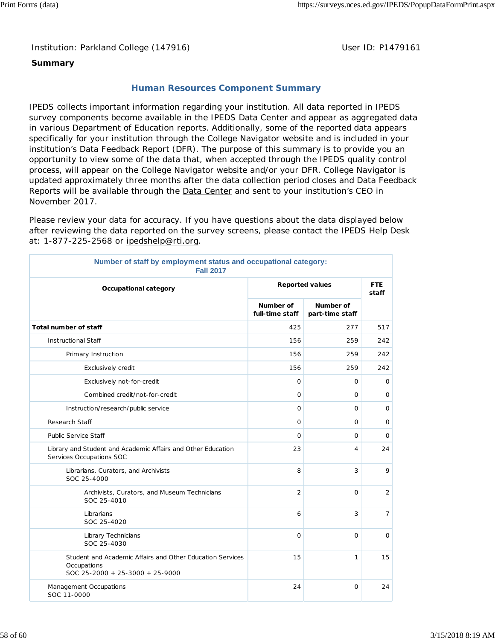Institution: Parkland College (147916) **Distribution: Parkland College (1479161** College College College College College College College College College College College College College College College College College Colle

## **Summary**

## **Human Resources Component Summary**

IPEDS collects important information regarding your institution. All data reported in IPEDS survey components become available in the IPEDS Data Center and appear as aggregated data in various Department of Education reports. Additionally, some of the reported data appears specifically for your institution through the College Navigator website and is included in your institution's Data Feedback Report (DFR). The purpose of this summary is to provide you an opportunity to view some of the data that, when accepted through the IPEDS quality control process, will appear on the College Navigator website and/or your DFR. College Navigator is updated approximately three months after the data collection period closes and Data Feedback Reports will be available through the **Data Center** and sent to your institution's CEO in November 2017.

Please review your data for accuracy. If you have questions about the data displayed below after reviewing the data reported on the survey screens, please contact the IPEDS Help Desk at: 1-877-225-2568 or ipedshelp@rti.org.

| Number of staff by employment status and occupational category:<br><b>Fall 2017</b>                         |                              |                              |                |  |  |
|-------------------------------------------------------------------------------------------------------------|------------------------------|------------------------------|----------------|--|--|
| Occupational category                                                                                       | <b>Reported values</b>       | <b>FTE</b><br>staff          |                |  |  |
|                                                                                                             | Number of<br>full-time staff | Number of<br>part-time staff |                |  |  |
| <b>Total number of staff</b>                                                                                | 425                          | 277                          | 517            |  |  |
| <b>Instructional Staff</b>                                                                                  | 156                          | 259                          | 242            |  |  |
| Primary Instruction                                                                                         | 156                          | 259                          | 242            |  |  |
| Exclusively credit                                                                                          | 156                          | 259                          | 242            |  |  |
| Exclusively not-for-credit                                                                                  | $\mathbf{O}$                 | 0                            | 0              |  |  |
| Combined credit/not-for-credit                                                                              | $\mathbf{O}$                 | $\circ$                      | $\mathbf 0$    |  |  |
| Instruction/research/public service                                                                         | $\mathbf 0$                  | 0                            | $\mathbf 0$    |  |  |
| <b>Research Staff</b>                                                                                       | $\circ$                      | $\mathbf{O}$                 | 0              |  |  |
| <b>Public Service Staff</b>                                                                                 | $\mathbf 0$                  | $\mathsf{O}$                 | 0              |  |  |
| Library and Student and Academic Affairs and Other Education<br>Services Occupations SOC                    | 23                           | 4                            | 24             |  |  |
| Librarians, Curators, and Archivists<br>SOC 25-4000                                                         | 8                            | 3                            | 9              |  |  |
| Archivists, Curators, and Museum Technicians<br>SOC 25-4010                                                 | $\overline{2}$               | 0                            | $\overline{2}$ |  |  |
| Librarians<br>SOC 25-4020                                                                                   | 6                            | 3                            | $\overline{7}$ |  |  |
| Library Technicians<br>SOC 25-4030                                                                          | $\circ$                      | $\Omega$                     | $\mathbf 0$    |  |  |
| Student and Academic Affairs and Other Education Services<br>Occupations<br>SOC 25-2000 + 25-3000 + 25-9000 | 15                           | 1                            | 15             |  |  |
| Management Occupations<br>SOC 11-0000                                                                       | 24                           | $\circ$                      | 24             |  |  |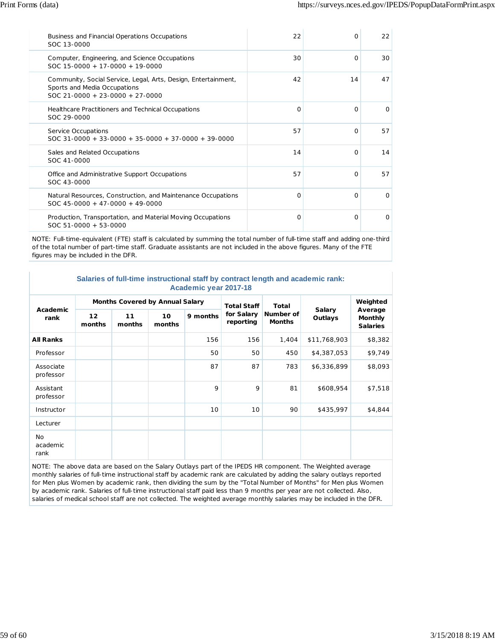| Business and Financial Operations Occupations<br>SOC 13-0000                                                                        | 22       | $\Omega$ | 22       |
|-------------------------------------------------------------------------------------------------------------------------------------|----------|----------|----------|
| Computer, Engineering, and Science Occupations<br>$SOC 15-0000 + 17-0000 + 19-0000$                                                 | 30       | $\Omega$ | 30       |
| Community, Social Service, Legal, Arts, Design, Entertainment,<br>Sports and Media Occupations<br>$SOC$ 21-0000 + 23-0000 + 27-0000 | 42       | 14       | 47       |
| Healthcare Practitioners and Technical Occupations<br>SOC 29-0000                                                                   | $\Omega$ | $\Omega$ | $\Omega$ |
| Service Occupations<br>$SOC$ 31-0000 + 33-0000 + 35-0000 + 37-0000 + 39-0000                                                        | 57       | $\Omega$ | 57       |
| Sales and Related Occupations<br>SOC 41-0000                                                                                        | 14       | $\Omega$ | 14       |
| Office and Administrative Support Occupations<br>SOC 43-0000                                                                        | 57       | $\Omega$ | 57       |
| Natural Resources, Construction, and Maintenance Occupations<br>$SOC$ 45-0000 + 47-0000 + 49-0000                                   | O        | $\Omega$ | $\Omega$ |
| Production, Transportation, and Material Moving Occupations<br>$SOC 51-0000 + 53-0000$                                              | O        | $\Omega$ | $\Omega$ |

NOTE: Full-time-equivalent (FTE) staff is calculated by summing the total number of full-time staff and adding one-third of the total number of part-time staff. Graduate assistants are not included in the above figures. Many of the FTE figures may be included in the DFR.

#### **Salaries of full-time instructional staff by contract length and academic rank: Academic year 2017-18**

| Academic<br>rank        | <b>Months Covered by Annual Salary</b> |              |              |          | <b>Total Staff</b>      | <b>Total</b>               |                   | Weighted                                     |
|-------------------------|----------------------------------------|--------------|--------------|----------|-------------------------|----------------------------|-------------------|----------------------------------------------|
|                         | $12 \overline{ }$<br>months            | 11<br>months | 10<br>months | 9 months | for Salary<br>reporting | Number of<br><b>Months</b> | Salary<br>Outlays | Average<br><b>Monthly</b><br><b>Salaries</b> |
| <b>All Ranks</b>        |                                        |              |              | 156      | 156                     | 1,404                      | \$11,768,903      | \$8,382                                      |
| Professor               |                                        |              |              | 50       | 50                      | 450                        | \$4,387,053       | \$9,749                                      |
| Associate<br>professor  |                                        |              |              | 87       | 87                      | 783                        | \$6,336,899       | \$8,093                                      |
| Assistant<br>professor  |                                        |              |              | 9        | 9                       | 81                         | \$608,954         | \$7,518                                      |
| Instructor              |                                        |              |              | 10       | 10                      | 90                         | \$435,997         | \$4,844                                      |
| Lecturer                |                                        |              |              |          |                         |                            |                   |                                              |
| No.<br>academic<br>rank |                                        |              |              |          |                         |                            |                   |                                              |

NOTE: The above data are based on the Salary Outlays part of the IPEDS HR component. The Weighted average monthly salaries of full-time instructional staff by academic rank are calculated by adding the salary outlays reported for Men plus Women by academic rank, then dividing the sum by the "Total Number of Months" for Men plus Women by academic rank. Salaries of full-time instructional staff paid less than 9 months per year are not collected. Also, salaries of medical school staff are not collected. The weighted average monthly salaries may be included in the DFR.